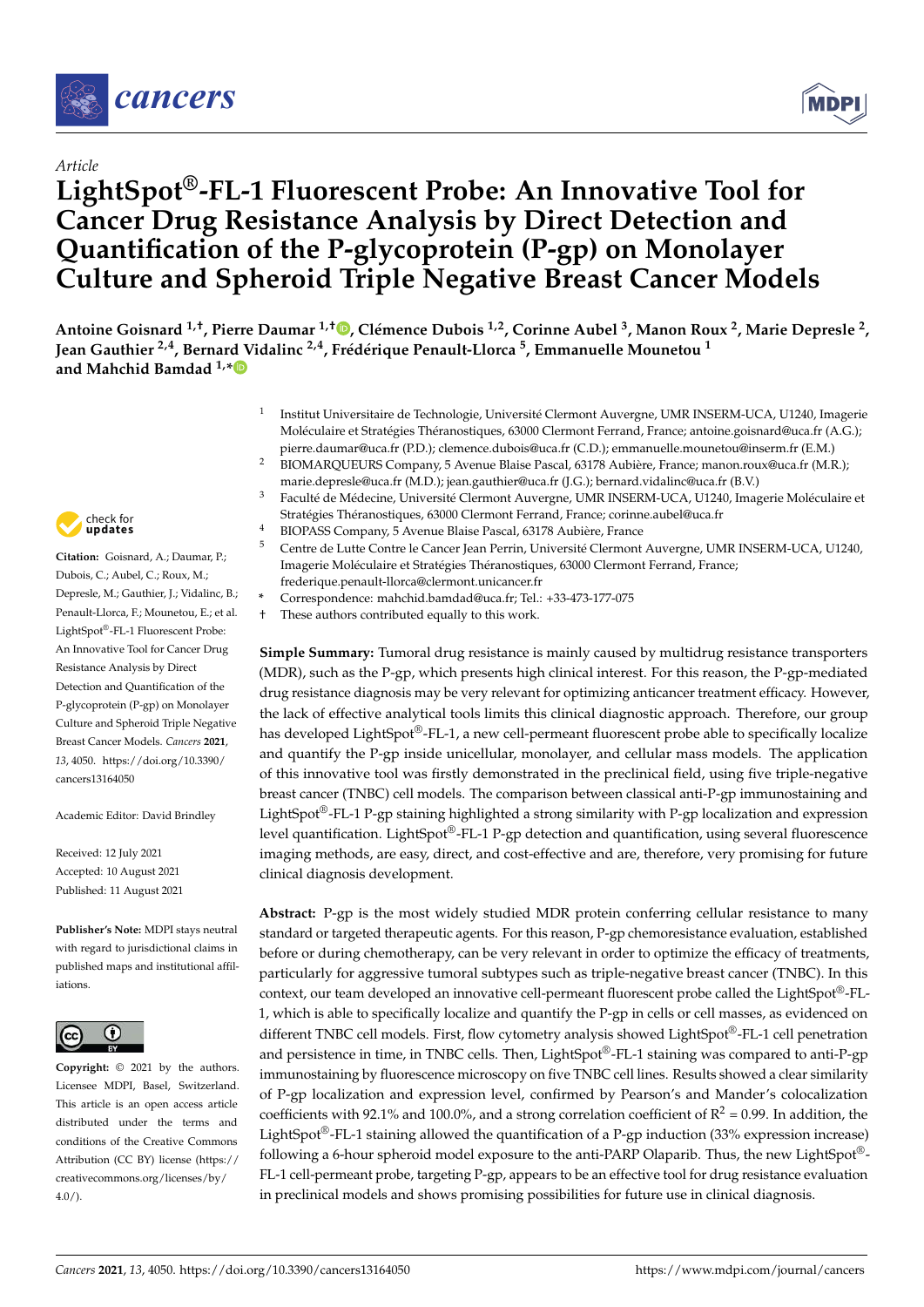

# *Article*

# **LightSpot®-FL-1 Fluorescent Probe: An Innovative Tool for Cancer Drug Resistance Analysis by Direct Detection and Quantification of the P-glycoprotein (P-gp) on Monolayer Culture and Spheroid Triple Negative Breast Cancer Models**

Antoine Goisnard <sup>1[,](https://orcid.org/0000-0003-0386-7171)†</sup>, Pierre Daumar <sup>1,†</sup>®, Clémence Dubois <sup>1,2</sup>, Corinne Aubel <sup>3</sup>, Manon Roux <sup>2</sup>, Marie Depresle <sup>2</sup>, **Jean Gauthier 2,4, Bernard Vidalinc 2,4, Frédérique Penault-Llorca <sup>5</sup> , Emmanuelle Mounetou <sup>1</sup> and Mahchid Bamdad 1,[\\*](https://orcid.org/0000-0002-2474-6910)**

- 1 Institut Universitaire de Technologie, Université Clermont Auvergne, UMR INSERM-UCA, U1240, Imagerie Moléculaire et Stratégies Théranostiques, 63000 Clermont Ferrand, France; antoine.goisnard@uca.fr (A.G.); pierre.daumar@uca.fr (P.D.); clemence.dubois@uca.fr (C.D.); emmanuelle.mounetou@inserm.fr (E.M.)
- <sup>2</sup> BIOMARQUEURS Company, 5 Avenue Blaise Pascal, 63178 Aubière, France; manon.roux@uca.fr (M.R.); marie.depresle@uca.fr (M.D.); jean.gauthier@uca.fr (J.G.); bernard.vidalinc@uca.fr (B.V.)
- <sup>3</sup> Faculté de Médecine, Université Clermont Auvergne, UMR INSERM-UCA, U1240, Imagerie Moléculaire et Stratégies Théranostiques, 63000 Clermont Ferrand, France; corinne.aubel@uca.fr
- <sup>4</sup> BIOPASS Company, 5 Avenue Blaise Pascal, 63178 Aubière, France
- <sup>5</sup> Centre de Lutte Contre le Cancer Jean Perrin, Université Clermont Auvergne, UMR INSERM-UCA, U1240, Imagerie Moléculaire et Stratégies Théranostiques, 63000 Clermont Ferrand, France; frederique.penault-llorca@clermont.unicancer.fr
- **\*** Correspondence: mahchid.bamdad@uca.fr; Tel.: +33-473-177-075
- † These authors contributed equally to this work.

**Simple Summary:** Tumoral drug resistance is mainly caused by multidrug resistance transporters (MDR), such as the P-gp, which presents high clinical interest. For this reason, the P-gp-mediated drug resistance diagnosis may be very relevant for optimizing anticancer treatment efficacy. However, the lack of effective analytical tools limits this clinical diagnostic approach. Therefore, our group has developed LightSpot®-FL-1, a new cell-permeant fluorescent probe able to specifically localize and quantify the P-gp inside unicellular, monolayer, and cellular mass models. The application of this innovative tool was firstly demonstrated in the preclinical field, using five triple-negative breast cancer (TNBC) cell models. The comparison between classical anti-P-gp immunostaining and LightSpot®-FL-1 P-gp staining highlighted a strong similarity with P-gp localization and expression level quantification. LightSpot®-FL-1 P-gp detection and quantification, using several fluorescence imaging methods, are easy, direct, and cost-effective and are, therefore, very promising for future clinical diagnosis development.

**Abstract:** P-gp is the most widely studied MDR protein conferring cellular resistance to many standard or targeted therapeutic agents. For this reason, P-gp chemoresistance evaluation, established before or during chemotherapy, can be very relevant in order to optimize the efficacy of treatments, particularly for aggressive tumoral subtypes such as triple-negative breast cancer (TNBC). In this context, our team developed an innovative cell-permeant fluorescent probe called the LightSpot®-FL-1, which is able to specifically localize and quantify the P-gp in cells or cell masses, as evidenced on different TNBC cell models. First, flow cytometry analysis showed LightSpot®-FL-1 cell penetration and persistence in time, in TNBC cells. Then, LightSpot®-FL-1 staining was compared to anti-P-gp immunostaining by fluorescence microscopy on five TNBC cell lines. Results showed a clear similarity of P-gp localization and expression level, confirmed by Pearson's and Mander's colocalization coefficients with 92.1% and 100.0%, and a strong correlation coefficient of  $R^2 = 0.99$ . In addition, the LightSpot®-FL-1 staining allowed the quantification of a P-gp induction (33% expression increase) following a 6-hour spheroid model exposure to the anti-PARP Olaparib. Thus, the new LightSpot®-FL-1 cell-permeant probe, targeting P-gp, appears to be an effective tool for drug resistance evaluation in preclinical models and shows promising possibilities for future use in clinical diagnosis.



**Citation:** Goisnard, A.; Daumar, P.; Dubois, C.; Aubel, C.; Roux, M.; Depresle, M.; Gauthier, J.; Vidalinc, B.; Penault-Llorca, F.; Mounetou, E.; et al. LightSpot®-FL-1 Fluorescent Probe: An Innovative Tool for Cancer Drug Resistance Analysis by Direct Detection and Quantification of the P-glycoprotein (P-gp) on Monolayer Culture and Spheroid Triple Negative Breast Cancer Models. *Cancers* **2021**, *13*, 4050. [https://doi.org/10.3390/](https://doi.org/10.3390/cancers13164050) [cancers13164050](https://doi.org/10.3390/cancers13164050)

Academic Editor: David Brindley

Received: 12 July 2021 Accepted: 10 August 2021 Published: 11 August 2021

**Publisher's Note:** MDPI stays neutral with regard to jurisdictional claims in published maps and institutional affiliations.



**Copyright:** © 2021 by the authors. Licensee MDPI, Basel, Switzerland. This article is an open access article distributed under the terms and conditions of the Creative Commons Attribution (CC BY) license (https:/[/](https://creativecommons.org/licenses/by/4.0/) [creativecommons.org/licenses/by/](https://creativecommons.org/licenses/by/4.0/)  $4.0/$ ).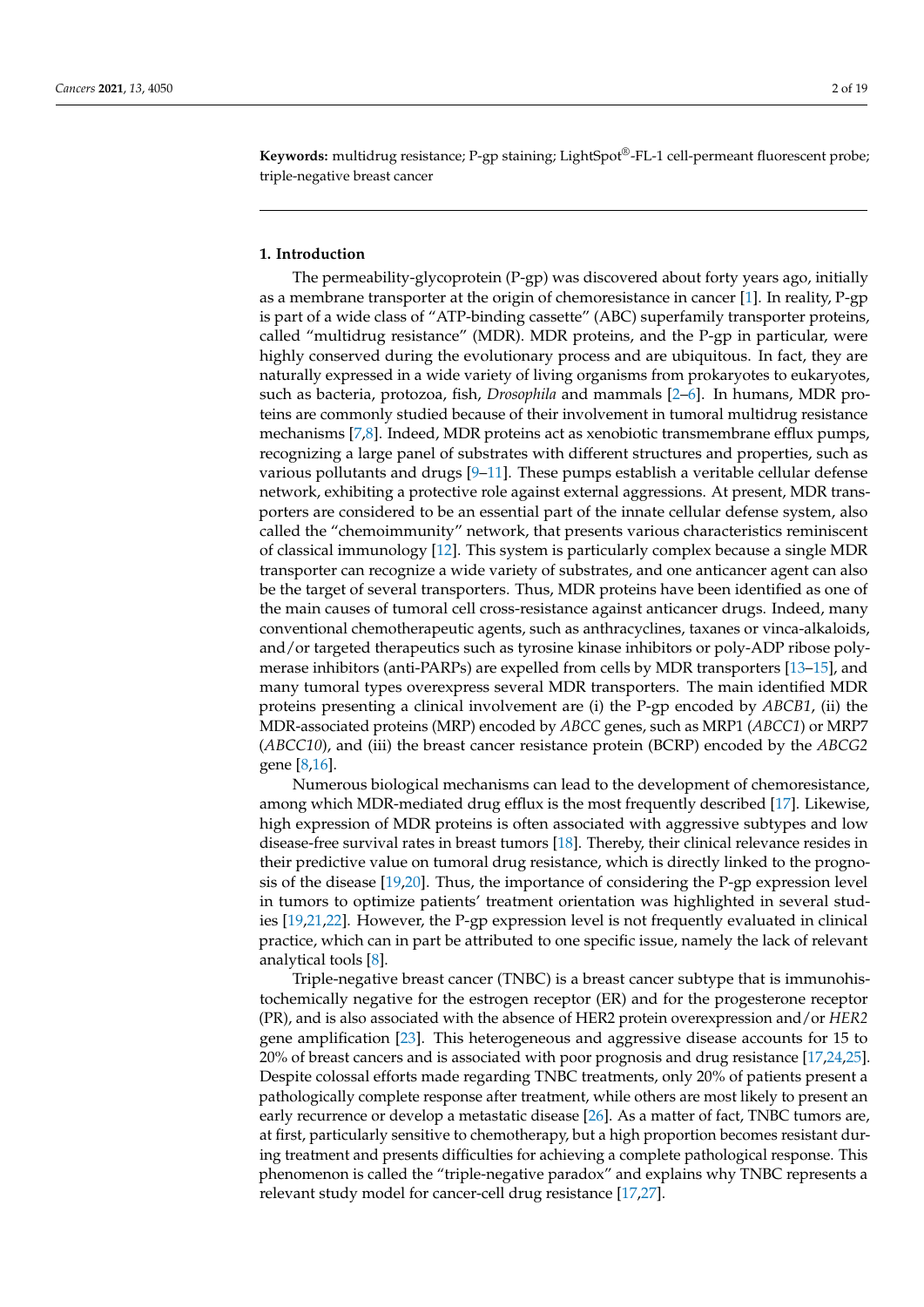**Keywords:** multidrug resistance; P-gp staining; LightSpot®-FL-1 cell-permeant fluorescent probe; triple-negative breast cancer

#### **1. Introduction**

The permeability-glycoprotein (P-gp) was discovered about forty years ago, initially as a membrane transporter at the origin of chemoresistance in cancer [\[1\]](#page-16-0). In reality, P-gp is part of a wide class of "ATP-binding cassette" (ABC) superfamily transporter proteins, called "multidrug resistance" (MDR). MDR proteins, and the P-gp in particular, were highly conserved during the evolutionary process and are ubiquitous. In fact, they are naturally expressed in a wide variety of living organisms from prokaryotes to eukaryotes, such as bacteria, protozoa, fish, *Drosophila* and mammals [\[2](#page-16-1)[–6\]](#page-16-2). In humans, MDR proteins are commonly studied because of their involvement in tumoral multidrug resistance mechanisms [\[7,](#page-16-3)[8\]](#page-16-4). Indeed, MDR proteins act as xenobiotic transmembrane efflux pumps, recognizing a large panel of substrates with different structures and properties, such as various pollutants and drugs  $[9-11]$  $[9-11]$ . These pumps establish a veritable cellular defense network, exhibiting a protective role against external aggressions. At present, MDR transporters are considered to be an essential part of the innate cellular defense system, also called the "chemoimmunity" network, that presents various characteristics reminiscent of classical immunology [\[12\]](#page-16-7). This system is particularly complex because a single MDR transporter can recognize a wide variety of substrates, and one anticancer agent can also be the target of several transporters. Thus, MDR proteins have been identified as one of the main causes of tumoral cell cross-resistance against anticancer drugs. Indeed, many conventional chemotherapeutic agents, such as anthracyclines, taxanes or vinca-alkaloids, and/or targeted therapeutics such as tyrosine kinase inhibitors or poly-ADP ribose polymerase inhibitors (anti-PARPs) are expelled from cells by MDR transporters [\[13–](#page-16-8)[15\]](#page-16-9), and many tumoral types overexpress several MDR transporters. The main identified MDR proteins presenting a clinical involvement are (i) the P-gp encoded by *ABCB1*, (ii) the MDR-associated proteins (MRP) encoded by *ABCC* genes, such as MRP1 (*ABCC1*) or MRP7 (*ABCC10*), and (iii) the breast cancer resistance protein (BCRP) encoded by the *ABCG2* gene [\[8](#page-16-4)[,16\]](#page-16-10).

Numerous biological mechanisms can lead to the development of chemoresistance, among which MDR-mediated drug efflux is the most frequently described [\[17\]](#page-16-11). Likewise, high expression of MDR proteins is often associated with aggressive subtypes and low disease-free survival rates in breast tumors [\[18\]](#page-16-12). Thereby, their clinical relevance resides in their predictive value on tumoral drug resistance, which is directly linked to the prognosis of the disease [\[19,](#page-16-13)[20\]](#page-16-14). Thus, the importance of considering the P-gp expression level in tumors to optimize patients' treatment orientation was highlighted in several studies [\[19](#page-16-13)[,21](#page-16-15)[,22\]](#page-16-16). However, the P-gp expression level is not frequently evaluated in clinical practice, which can in part be attributed to one specific issue, namely the lack of relevant analytical tools [\[8\]](#page-16-4).

Triple-negative breast cancer (TNBC) is a breast cancer subtype that is immunohistochemically negative for the estrogen receptor (ER) and for the progesterone receptor (PR), and is also associated with the absence of HER2 protein overexpression and/or *HER2* gene amplification [\[23\]](#page-16-17). This heterogeneous and aggressive disease accounts for 15 to 20% of breast cancers and is associated with poor prognosis and drug resistance [\[17](#page-16-11)[,24](#page-16-18)[,25\]](#page-16-19). Despite colossal efforts made regarding TNBC treatments, only 20% of patients present a pathologically complete response after treatment, while others are most likely to present an early recurrence or develop a metastatic disease [\[26\]](#page-17-0). As a matter of fact, TNBC tumors are, at first, particularly sensitive to chemotherapy, but a high proportion becomes resistant during treatment and presents difficulties for achieving a complete pathological response. This phenomenon is called the "triple-negative paradox" and explains why TNBC represents a relevant study model for cancer-cell drug resistance [\[17,](#page-16-11)[27\]](#page-17-1).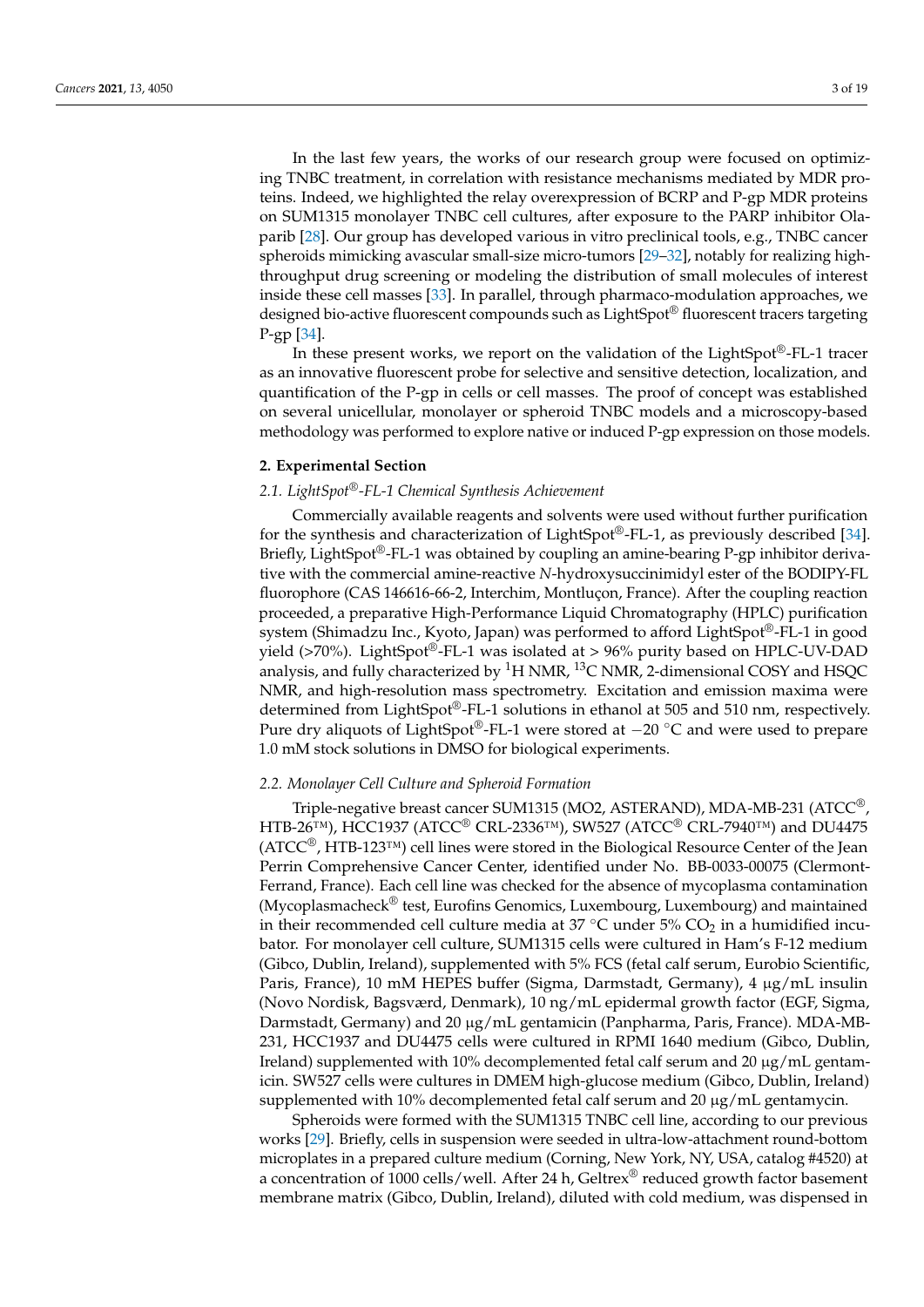In the last few years, the works of our research group were focused on optimizing TNBC treatment, in correlation with resistance mechanisms mediated by MDR proteins. Indeed, we highlighted the relay overexpression of BCRP and P-gp MDR proteins on SUM1315 monolayer TNBC cell cultures, after exposure to the PARP inhibitor Olaparib [\[28\]](#page-17-2). Our group has developed various in vitro preclinical tools, e.g., TNBC cancer spheroids mimicking avascular small-size micro-tumors [\[29–](#page-17-3)[32\]](#page-17-4), notably for realizing highthroughput drug screening or modeling the distribution of small molecules of interest inside these cell masses [\[33\]](#page-17-5). In parallel, through pharmaco-modulation approaches, we designed bio-active fluorescent compounds such as LightSpot® fluorescent tracers targeting P-gp [\[34\]](#page-17-6).

In these present works, we report on the validation of the LightSpot®-FL-1 tracer as an innovative fluorescent probe for selective and sensitive detection, localization, and quantification of the P-gp in cells or cell masses. The proof of concept was established on several unicellular, monolayer or spheroid TNBC models and a microscopy-based methodology was performed to explore native or induced P-gp expression on those models.

## **2. Experimental Section**

#### *2.1. LightSpot®-FL-1 Chemical Synthesis Achievement*

Commercially available reagents and solvents were used without further purification for the synthesis and characterization of LightSpot®-FL-1, as previously described [\[34\]](#page-17-6). Briefly, LightSpot®-FL-1 was obtained by coupling an amine-bearing P-gp inhibitor derivative with the commercial amine-reactive *N*-hydroxysuccinimidyl ester of the BODIPY-FL fluorophore (CAS 146616-66-2, Interchim, Montluçon, France). After the coupling reaction proceeded, a preparative High-Performance Liquid Chromatography (HPLC) purification system (Shimadzu Inc., Kyoto, Japan) was performed to afford LightSpot®-FL-1 in good yield ( $>70\%$ ). LightSpot<sup>®</sup>-FL-1 was isolated at  $> 96\%$  purity based on HPLC-UV-DAD analysis, and fully characterized by  ${}^{1}$ H NMR,  ${}^{13}$ C NMR, 2-dimensional COSY and HSQC NMR, and high-resolution mass spectrometry. Excitation and emission maxima were determined from LightSpot®-FL-1 solutions in ethanol at 505 and 510 nm, respectively. Pure dry aliquots of LightSpot®-FL-1 were stored at −20 °C and were used to prepare 1.0 mM stock solutions in DMSO for biological experiments.

#### *2.2. Monolayer Cell Culture and Spheroid Formation*

Triple-negative breast cancer SUM1315 (MO2, ASTERAND), MDA-MB-231 (ATCC®, HTB-26™), HCC1937 (ATCC® CRL-2336™), SW527 (ATCC® CRL-7940™) and DU4475 (ATCC®, HTB-123™) cell lines were stored in the Biological Resource Center of the Jean Perrin Comprehensive Cancer Center, identified under No. BB-0033-00075 (Clermont-Ferrand, France). Each cell line was checked for the absence of mycoplasma contamination (Mycoplasmacheck® test, Eurofins Genomics, Luxembourg, Luxembourg) and maintained in their recommended cell culture media at  $37 °C$  under  $5\%$  CO<sub>2</sub> in a humidified incubator. For monolayer cell culture, SUM1315 cells were cultured in Ham's F-12 medium (Gibco, Dublin, Ireland), supplemented with 5% FCS (fetal calf serum, Eurobio Scientific, Paris, France), 10 mM HEPES buffer (Sigma, Darmstadt, Germany), 4 µg/mL insulin (Novo Nordisk, Bagsværd, Denmark), 10 ng/mL epidermal growth factor (EGF, Sigma, Darmstadt, Germany) and 20 µg/mL gentamicin (Panpharma, Paris, France). MDA-MB-231, HCC1937 and DU4475 cells were cultured in RPMI 1640 medium (Gibco, Dublin, Ireland) supplemented with 10% decomplemented fetal calf serum and 20  $\mu$ g/mL gentamicin. SW527 cells were cultures in DMEM high-glucose medium (Gibco, Dublin, Ireland) supplemented with  $10\%$  decomplemented fetal calf serum and  $20 \mu g/mL$  gentamycin.

Spheroids were formed with the SUM1315 TNBC cell line, according to our previous works [\[29\]](#page-17-3). Briefly, cells in suspension were seeded in ultra-low-attachment round-bottom microplates in a prepared culture medium (Corning, New York, NY, USA, catalog #4520) at a concentration of 1000 cells/well. After 24 h, Geltrex® reduced growth factor basement membrane matrix (Gibco, Dublin, Ireland), diluted with cold medium, was dispensed in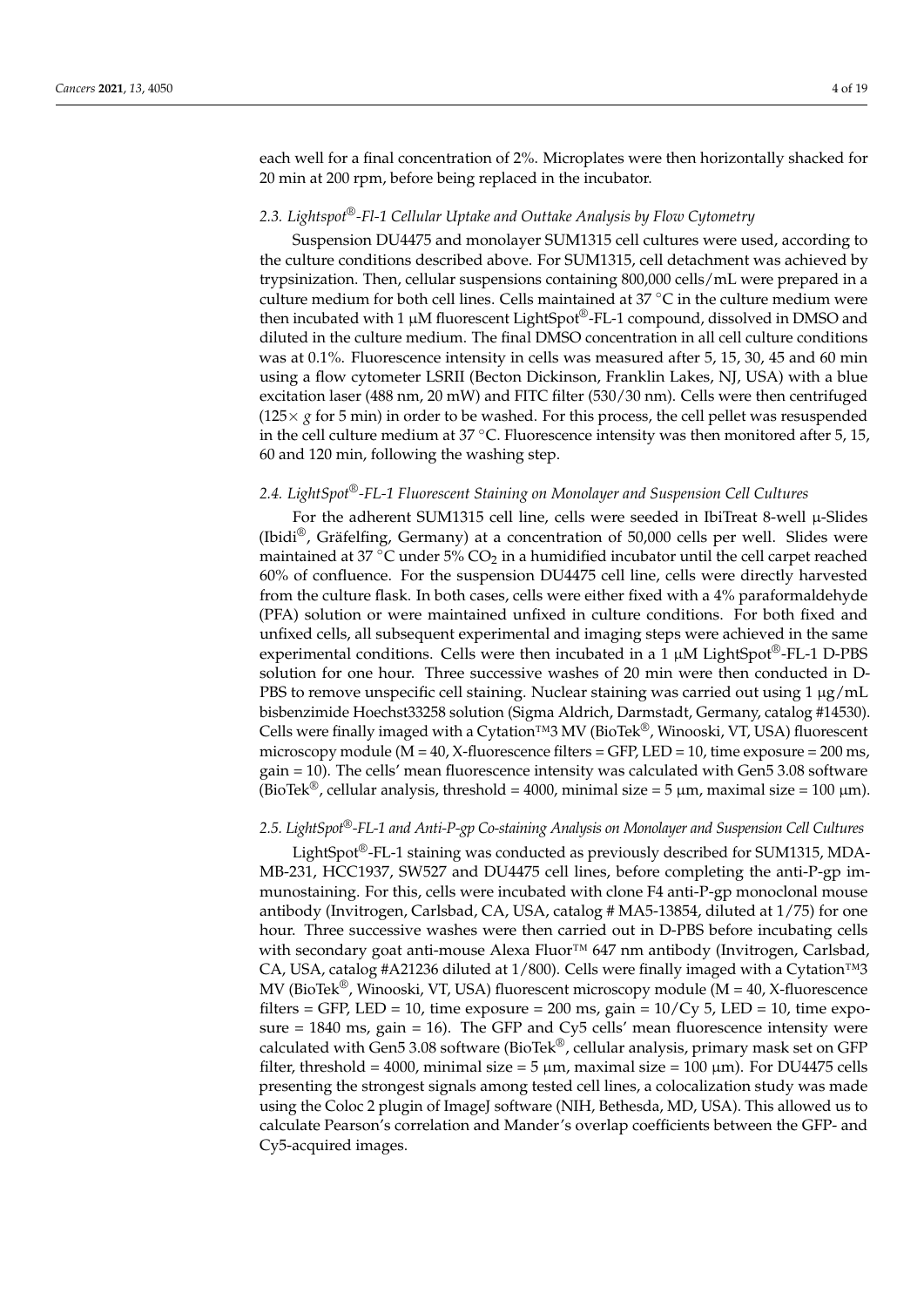each well for a final concentration of 2%. Microplates were then horizontally shacked for 20 min at 200 rpm, before being replaced in the incubator.

#### *2.3. Lightspot®-Fl-1 Cellular Uptake and Outtake Analysis by Flow Cytometry*

Suspension DU4475 and monolayer SUM1315 cell cultures were used, according to the culture conditions described above. For SUM1315, cell detachment was achieved by trypsinization. Then, cellular suspensions containing 800,000 cells/mL were prepared in a culture medium for both cell lines. Cells maintained at 37 ◦C in the culture medium were then incubated with 1  $\mu$ M fluorescent LightSpot®-FL-1 compound, dissolved in DMSO and diluted in the culture medium. The final DMSO concentration in all cell culture conditions was at 0.1%. Fluorescence intensity in cells was measured after 5, 15, 30, 45 and 60 min using a flow cytometer LSRII (Becton Dickinson, Franklin Lakes, NJ, USA) with a blue excitation laser (488 nm, 20 mW) and FITC filter (530/30 nm). Cells were then centrifuged  $(125 \times g$  for 5 min) in order to be washed. For this process, the cell pellet was resuspended in the cell culture medium at  $37^{\circ}$ C. Fluorescence intensity was then monitored after 5, 15, 60 and 120 min, following the washing step.

#### *2.4. LightSpot®-FL-1 Fluorescent Staining on Monolayer and Suspension Cell Cultures*

For the adherent SUM1315 cell line, cells were seeded in IbiTreat 8-well  $\mu$ -Slides (Ibidi®, Gräfelfing, Germany) at a concentration of 50,000 cells per well. Slides were maintained at 37  $\degree$ C under 5% CO<sub>2</sub> in a humidified incubator until the cell carpet reached 60% of confluence. For the suspension DU4475 cell line, cells were directly harvested from the culture flask. In both cases, cells were either fixed with a 4% paraformaldehyde (PFA) solution or were maintained unfixed in culture conditions. For both fixed and unfixed cells, all subsequent experimental and imaging steps were achieved in the same experimental conditions. Cells were then incubated in a 1  $\mu$ M LightSpot<sup>®</sup>-FL-1 D-PBS solution for one hour. Three successive washes of 20 min were then conducted in D-PBS to remove unspecific cell staining. Nuclear staining was carried out using 1 µg/mL bisbenzimide Hoechst33258 solution (Sigma Aldrich, Darmstadt, Germany, catalog #14530). Cells were finally imaged with a Cytation™3 MV (BioTek®, Winooski, VT, USA) fluorescent microscopy module ( $M = 40$ , X-fluorescence filters = GFP, LED = 10, time exposure = 200 ms, gain = 10). The cells' mean fluorescence intensity was calculated with Gen5 3.08 software (BioTek<sup>®</sup>, cellular analysis, threshold = 4000, minimal size = 5  $\mu$ m, maximal size = 100  $\mu$ m).

#### *2.5. LightSpot®-FL-1 and Anti-P-gp Co-staining Analysis on Monolayer and Suspension Cell Cultures*

LightSpot®-FL-1 staining was conducted as previously described for SUM1315, MDA-MB-231, HCC1937, SW527 and DU4475 cell lines, before completing the anti-P-gp immunostaining. For this, cells were incubated with clone F4 anti-P-gp monoclonal mouse antibody (Invitrogen, Carlsbad, CA, USA, catalog # MA5-13854, diluted at 1/75) for one hour. Three successive washes were then carried out in D-PBS before incubating cells with secondary goat anti-mouse Alexa Fluor™ 647 nm antibody (Invitrogen, Carlsbad, CA, USA, catalog #A21236 diluted at 1/800). Cells were finally imaged with a Cytation™3 MV (BioTek<sup>®</sup>, Winooski, VT, USA) fluorescent microscopy module ( $M = 40$ , X-fluorescence filters = GFP, LED = 10, time exposure = 200 ms, gain =  $10/Cy$  5, LED = 10, time exposure = 1840 ms, gain = 16). The GFP and Cy5 cells' mean fluorescence intensity were calculated with Gen5 3.08 software (BioTek®, cellular analysis, primary mask set on GFP filter, threshold = 4000, minimal size = 5  $\mu$ m, maximal size = 100  $\mu$ m). For DU4475 cells presenting the strongest signals among tested cell lines, a colocalization study was made using the Coloc 2 plugin of ImageJ software (NIH, Bethesda, MD, USA). This allowed us to calculate Pearson's correlation and Mander's overlap coefficients between the GFP- and Cy5-acquired images.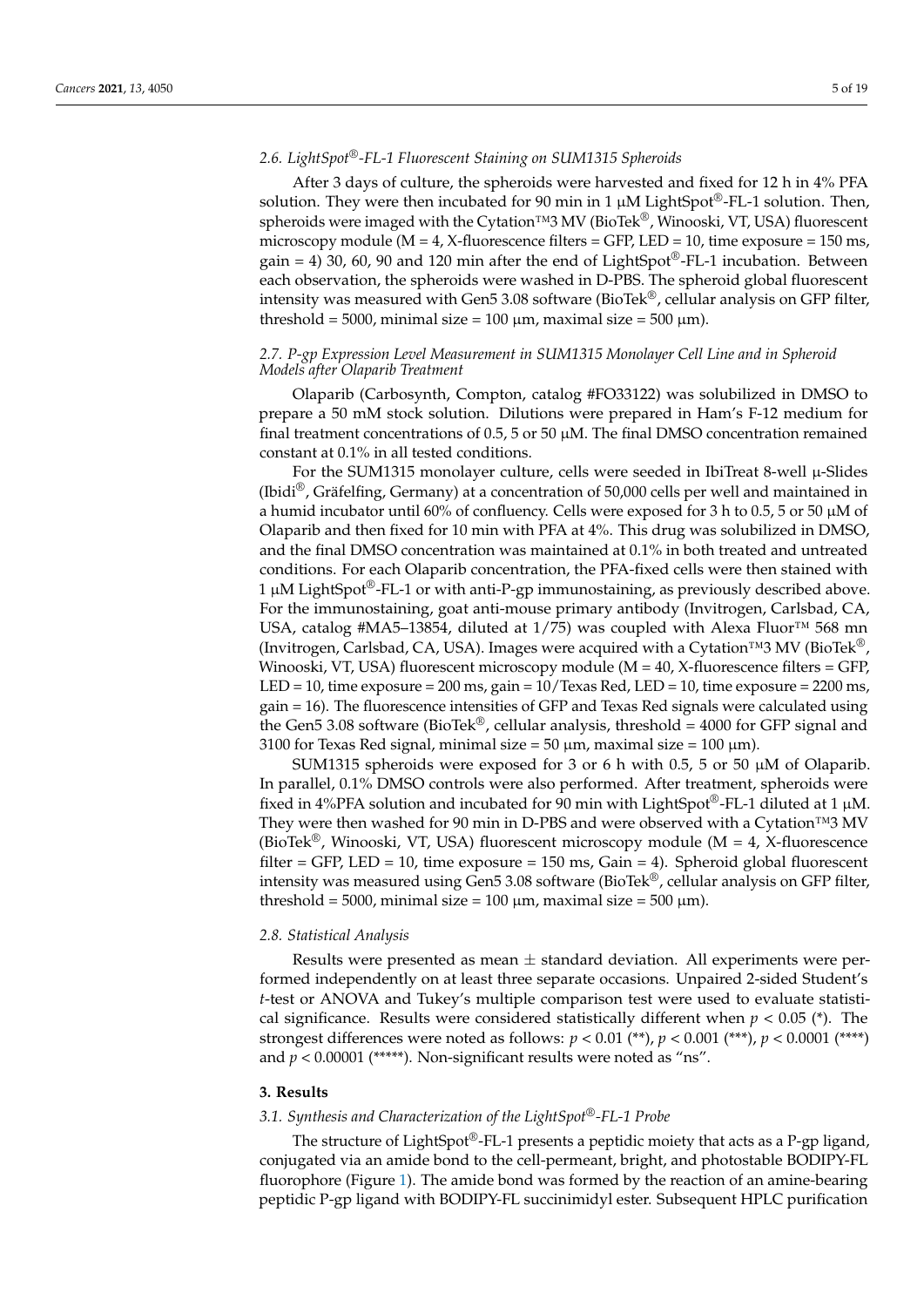#### *2.6. LightSpot®-FL-1 Fluorescent Staining on SUM1315 Spheroids*

After 3 days of culture, the spheroids were harvested and fixed for 12 h in 4% PFA solution. They were then incubated for 90 min in 1  $\mu$ M LightSpot<sup>®</sup>-FL-1 solution. Then, spheroids were imaged with the Cytation™3 MV (BioTek<sup>®</sup>, Winooski, VT, USA) fluorescent microscopy module ( $M = 4$ , X-fluorescence filters = GFP, LED = 10, time exposure = 150 ms, gain = 4) 30, 60, 90 and 120 min after the end of LightSpot<sup>®</sup>-FL-1 incubation. Between each observation, the spheroids were washed in D-PBS. The spheroid global fluorescent intensity was measured with Gen5 3.08 software (BioTek®, cellular analysis on GFP filter, threshold = 5000, minimal size = 100  $\mu$ m, maximal size = 500  $\mu$ m).

#### *2.7. P-gp Expression Level Measurement in SUM1315 Monolayer Cell Line and in Spheroid Models after Olaparib Treatment*

Olaparib (Carbosynth, Compton, catalog #FO33122) was solubilized in DMSO to prepare a 50 mM stock solution. Dilutions were prepared in Ham's F-12 medium for final treatment concentrations of  $0.5$ ,  $5$  or  $50 \mu$ M. The final DMSO concentration remained constant at 0.1% in all tested conditions.

For the SUM1315 monolayer culture, cells were seeded in IbiTreat 8-well  $\mu$ -Slides (Ibidi<sup>®</sup>, Gräfelfing, Germany) at a concentration of 50,000 cells per well and maintained in a humid incubator until 60% of confluency. Cells were exposed for 3 h to 0.5, 5 or 50 µM of Olaparib and then fixed for 10 min with PFA at 4%. This drug was solubilized in DMSO, and the final DMSO concentration was maintained at 0.1% in both treated and untreated conditions. For each Olaparib concentration, the PFA-fixed cells were then stained with  $1 \mu$ M LightSpot<sup>®</sup>-FL-1 or with anti-P-gp immunostaining, as previously described above. For the immunostaining, goat anti-mouse primary antibody (Invitrogen, Carlsbad, CA, USA, catalog #MA5-13854, diluted at 1/75) was coupled with Alexa Fluor<sup>™</sup> 568 mn (Invitrogen, Carlsbad, CA, USA). Images were acquired with a Cytation™3 MV (BioTek®, Winooski, VT, USA) fluorescent microscopy module (M = 40, X-fluorescence filters = GFP, LED = 10, time exposure =  $200 \text{ ms}$ , gain =  $10/\text{Texas Red}$ , LED =  $10$ , time exposure =  $2200 \text{ ms}$ , gain = 16). The fluorescence intensities of GFP and Texas Red signals were calculated using the Gen5 3.08 software (BioTek<sup>®</sup>, cellular analysis, threshold = 4000 for GFP signal and 3100 for Texas Red signal, minimal size =  $50 \mu m$ , maximal size =  $100 \mu m$ ).

SUM1315 spheroids were exposed for 3 or 6 h with 0.5, 5 or 50  $\mu$ M of Olaparib. In parallel, 0.1% DMSO controls were also performed. After treatment, spheroids were fixed in 4%PFA solution and incubated for 90 min with LightSpot<sup>®</sup>-FL-1 diluted at 1  $\mu$ M. They were then washed for 90 min in D-PBS and were observed with a Cytation™3 MV (BioTek®, Winooski, VT, USA) fluorescent microscopy module ( $M = 4$ , X-fluorescence filter = GFP, LED = 10, time exposure =  $150$  ms, Gain = 4). Spheroid global fluorescent intensity was measured using Gen5 3.08 software (BioTek®, cellular analysis on GFP filter, threshold = 5000, minimal size = 100  $\mu$ m, maximal size = 500  $\mu$ m).

#### *2.8. Statistical Analysis*

Results were presented as mean  $\pm$  standard deviation. All experiments were performed independently on at least three separate occasions. Unpaired 2-sided Student's *t*-test or ANOVA and Tukey's multiple comparison test were used to evaluate statistical significance. Results were considered statistically different when  $p < 0.05$  (\*). The strongest differences were noted as follows: *p* < 0.01 (\*\*), *p* < 0.001 (\*\*\*), *p* < 0.0001 (\*\*\*\*) and  $p < 0.00001$  (\*\*\*\*\*). Non-significant results were noted as "ns".

#### **3. Results**

### *3.1. Synthesis and Characterization of the LightSpot®-FL-1 Probe*

The structure of LightSpot<sup>®</sup>-FL-1 presents a peptidic moiety that acts as a P-gp ligand, conjugated via an amide bond to the cell-permeant, bright, and photostable BODIPY-FL fluorophore (Figure [1\)](#page-5-0). The amide bond was formed by the reaction of an amine-bearing peptidic P-gp ligand with BODIPY-FL succinimidyl ester. Subsequent HPLC purification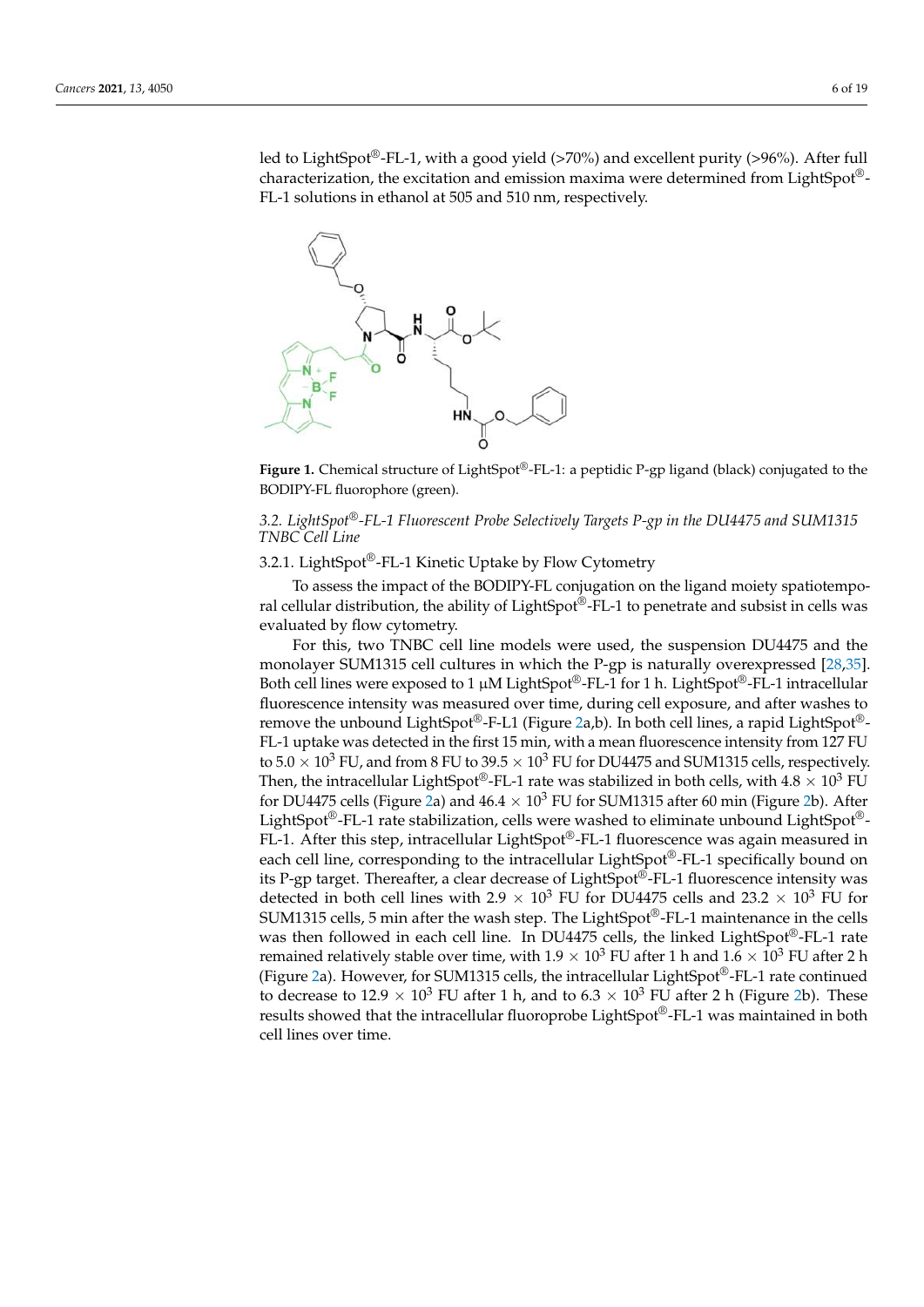led to LightSpot®-FL-1, with a good yield (>70%) and excellent purity (>96%). After full characterization, the excitation and emission maxima were determined from LightSpot®- FL-1 solutions in ethanol at 505 and 510 nm, respectively.

<span id="page-5-0"></span>

**Figure 1.** Chemical structure of LightSpot®-FL-1: a peptidic P-gp ligand (black) conjugated to the BODIPY-FL fluorophore (green).

# *3.2. LightSpot®-FL-1 Fluorescent Probe Selectively Targets P-gp in the DU4475 and SUM1315 TNBC Cell Line*

# 3.2.1. LightSpot®-FL-1 Kinetic Uptake by Flow Cytometry

To assess the impact of the BODIPY-FL conjugation on the ligand moiety spatiotemporal cellular distribution, the ability of LightSpot®-FL-1 to penetrate and subsist in cells was evaluated by flow cytometry.

For this, two TNBC cell line models were used, the suspension DU4475 and the monolayer SUM1315 cell cultures in which the P-gp is naturally overexpressed [\[28,](#page-17-2)[35\]](#page-17-7). Both cell lines were exposed to 1  $\mu$ M LightSpot<sup>®</sup>-FL-1 for 1 h. LightSpot<sup>®</sup>-FL-1 intracellular fluorescence intensity was measured over time, during cell exposure, and after washes to remove the unbound LightSpot®-F-L1 (Figure [2a](#page-6-0),b). In both cell lines, a rapid LightSpot®-FL-1 uptake was detected in the first 15 min, with a mean fluorescence intensity from 127 FU to  $5.0 \times 10^3$  FU, and from 8 FU to  $39.5 \times 10^3$  FU for DU4475 and SUM1315 cells, respectively. Then, the intracellular LightSpot®-FL-1 rate was stabilized in both cells, with  $4.8 \times 10^3$  FU for DU4475 cells (Figure [2a](#page-6-0)) and  $46.4 \times 10^3$  FU for SUM1315 after 60 min (Figure [2b](#page-6-0)). After LightSpot®-FL-1 rate stabilization, cells were washed to eliminate unbound LightSpot®- FL-1. After this step, intracellular LightSpot®-FL-1 fluorescence was again measured in each cell line, corresponding to the intracellular LightSpot®-FL-1 specifically bound on its P-gp target. Thereafter, a clear decrease of LightSpot®-FL-1 fluorescence intensity was detected in both cell lines with 2.9  $\times$  10<sup>3</sup> FU for DU4475 cells and 23.2  $\times$  10<sup>3</sup> FU for SUM1315 cells, 5 min after the wash step. The LightSpot®-FL-1 maintenance in the cells was then followed in each cell line. In DU4475 cells, the linked LightSpot®-FL-1 rate remained relatively stable over time, with  $1.9 \times 10^3$  FU after 1 h and  $1.6 \times 10^3$  FU after 2 h (Figure [2a](#page-6-0)). However, for SUM1315 cells, the intracellular LightSpot®-FL-1 rate continued to decrease to  $12.9 \times 10^3$  FU after 1 h, and to  $6.3 \times 10^3$  FU after 2 h (Figure [2b](#page-6-0)). These results showed that the intracellular fluoroprobe LightSpot®-FL-1 was maintained in both cell lines over time.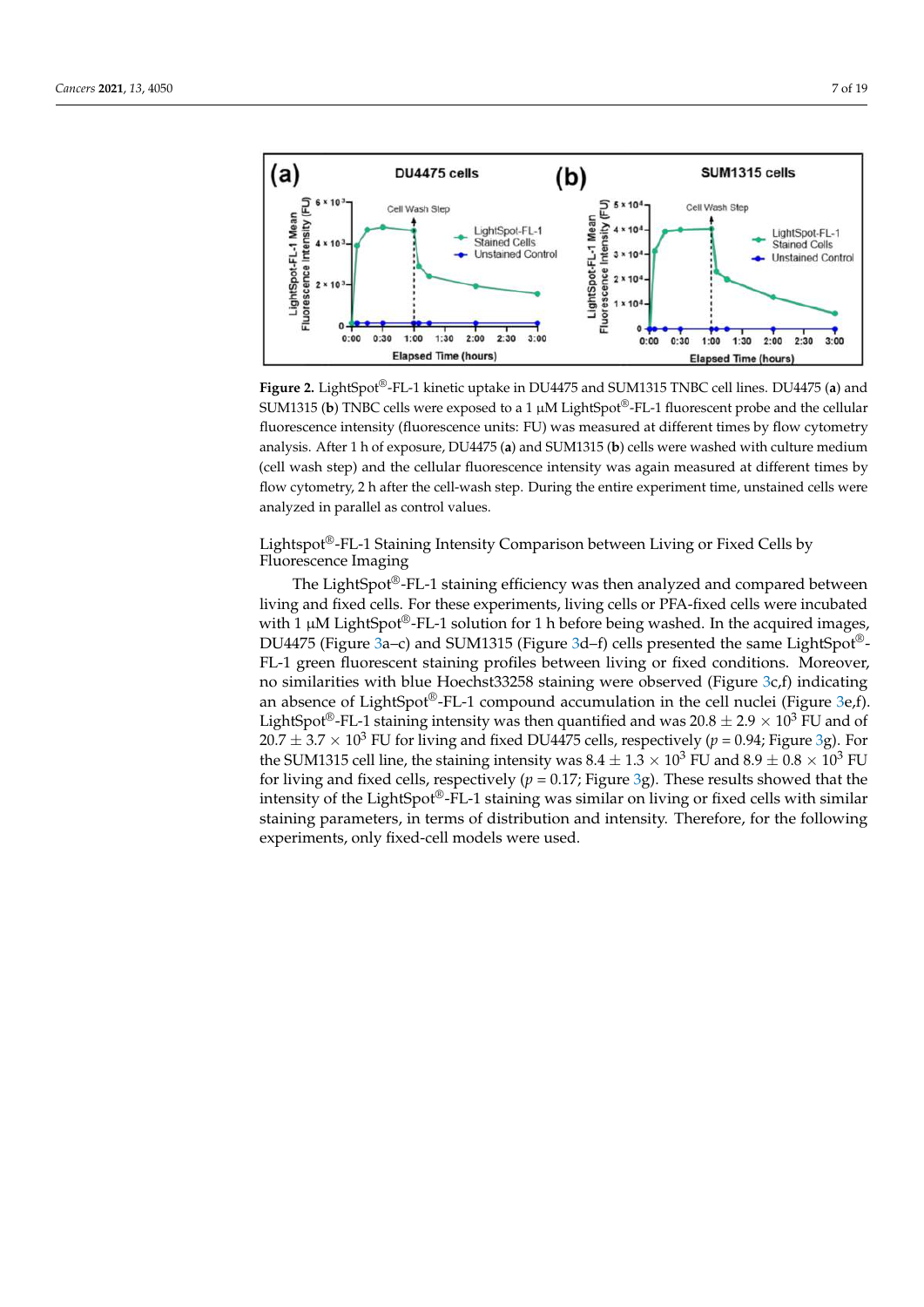<span id="page-6-0"></span>

**Figure 2.** LightSpot®-FL-1 kinetic uptake in DU4475 and SUM1315 TNBC cell lines. DU4475 (**a**) and SUM1315 (**b**) TNBC cells were exposed to a 1 µM LightSpot®-FL-1 fluorescent probe and the cellular fluorescence intensity (fluorescence units: FU) was measured at different times by flow cytometry analysis. After 1 h of exposure, DU4475 (**a**) and SUM1315 (**b**) cells were washed with culture medium (cell wash step) and the cellular fluorescence intensity was again measured at different times by flow cytometry, 2 h after the cell-wash step. During the entire experiment time, unstained cells were analyzed in parallel as control values.

Lightspot®-FL-1 Staining Intensity Comparison between Living or Fixed Cells by Fluorescence Imaging

The LightSpot®-FL-1 staining efficiency was then analyzed and compared between living and fixed cells. For these experiments, living cells or PFA-fixed cells were incubated with 1  $\mu$ M LightSpot<sup>®</sup>-FL-1 solution for 1 h before being washed. In the acquired images, DU4475 (Figure [3a](#page-7-0)–c) and SUM1315 (Figure [3d](#page-7-0)–f) cells presented the same LightSpot®- FL-1 green fluorescent staining profiles between living or fixed conditions. Moreover, no similarities with blue Hoechst33258 staining were observed (Figure [3c](#page-7-0),f) indicating an absence of LightSpot<sup>®</sup>-FL-1 compound accumulation in the cell nuclei (Figure [3e](#page-7-0),f). LightSpot<sup>®</sup>-FL-1 staining intensity was then quantified and was  $20.8 \pm 2.9 \times 10^3$  FU and of  $20.7 \pm 3.7 \times 10^3$  FU for living and fixed DU4475 cells, respectively ( $p = 0.94$ ; Figure [3g](#page-7-0)). For the SUM1315 cell line, the staining intensity was  $8.4 \pm 1.3 \times 10^3$  FU and  $8.9 \pm 0.8 \times 10^3$  FU for living and fixed cells, respectively ( $p = 0.17$ ; Figure [3g](#page-7-0)). These results showed that the intensity of the LightSpot®-FL-1 staining was similar on living or fixed cells with similar staining parameters, in terms of distribution and intensity. Therefore, for the following experiments, only fixed-cell models were used.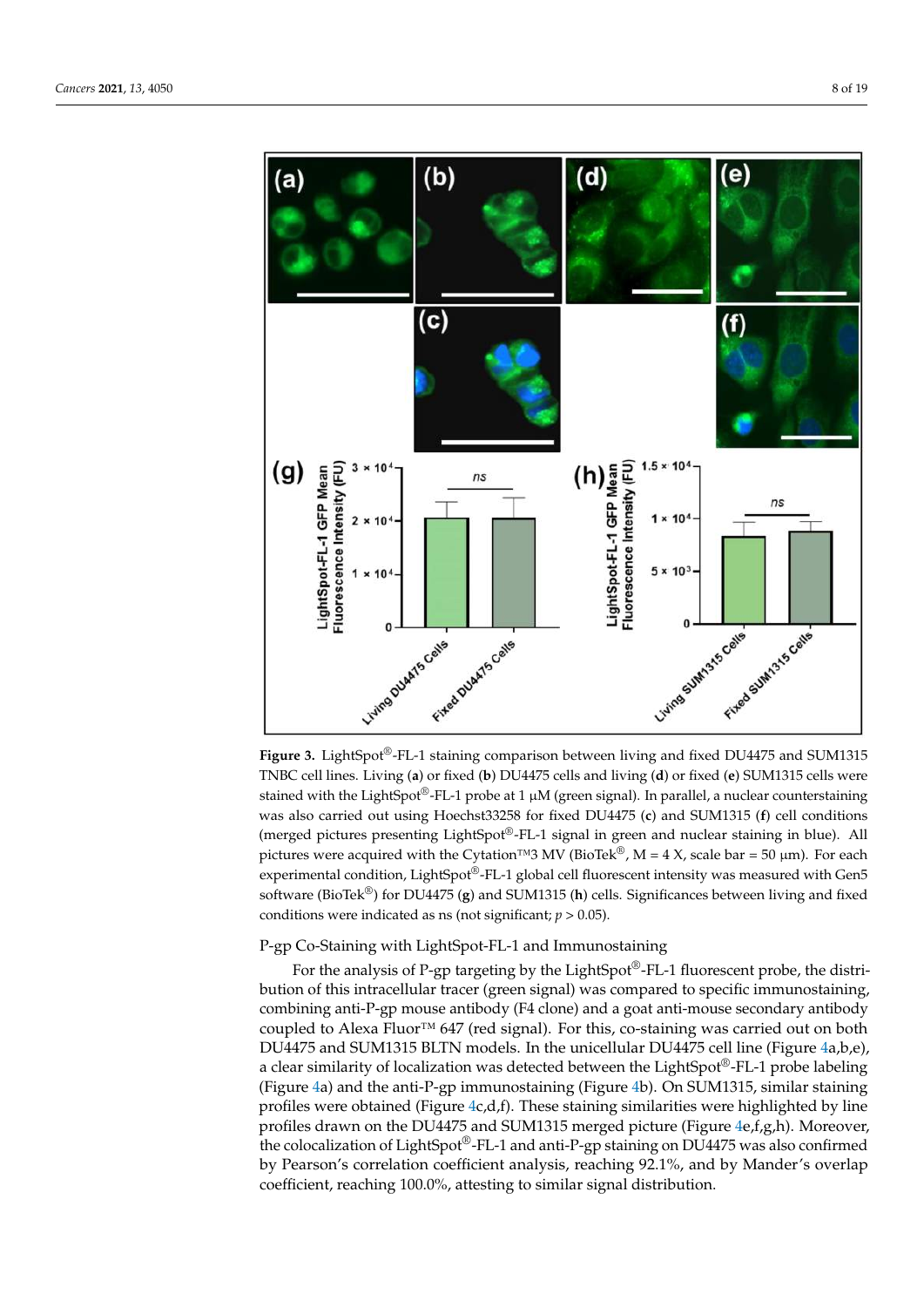<span id="page-7-0"></span>

**Figure 3.** LightSpot®-FL-1 staining comparison between living and fixed DU4475 and SUM1315 TNBC cell lines. Living (**a**) or fixed (**b**) DU4475 cells and living (**d**) or fixed (**e**) SUM1315 cells were stained with the LightSpot®-FL-1 probe at 1  $\mu$ M (green signal). In parallel, a nuclear counterstaining was also carried out using Hoechst33258 for fixed DU4475 (**c**) and SUM1315 (**f**) cell conditions (merged pictures presenting LightSpot®-FL-1 signal in green and nuclear staining in blue). All pictures were acquired with the Cytation™3 MV (BioTek®, M = 4 X, scale bar = 50 µm). For each experimental condition, LightSpot®-FL-1 global cell fluorescent intensity was measured with Gen5 software (BioTek®) for DU4475 (**g**) and SUM1315 (**h**) cells. Significances between living and fixed conditions were indicated as ns (not significant;  $p > 0.05$ ).

# P-gp Co-Staining with LightSpot-FL-1 and Immunostaining

For the analysis of P-gp targeting by the LightSpot®-FL-1 fluorescent probe, the distribution of this intracellular tracer (green signal) was compared to specific immunostaining, combining anti-P-gp mouse antibody (F4 clone) and a goat anti-mouse secondary antibody coupled to Alexa Fluor<sup>™</sup> 647 (red signal). For this, co-staining was carried out on both DU4475 and SUM1315 BLTN models. In the unicellular DU4475 cell line (Figure [4a](#page-8-0),b,e), a clear similarity of localization was detected between the LightSpot®-FL-1 probe labeling (Figure [4a](#page-8-0)) and the anti-P-gp immunostaining (Figure [4b](#page-8-0)). On SUM1315, similar staining profiles were obtained (Figure [4c](#page-8-0),d,f). These staining similarities were highlighted by line profiles drawn on the DU4475 and SUM1315 merged picture (Figure [4e](#page-8-0),f,g,h). Moreover, the colocalization of LightSpot®-FL-1 and anti-P-gp staining on DU4475 was also confirmed by Pearson's correlation coefficient analysis, reaching 92.1%, and by Mander's overlap coefficient, reaching 100.0%, attesting to similar signal distribution.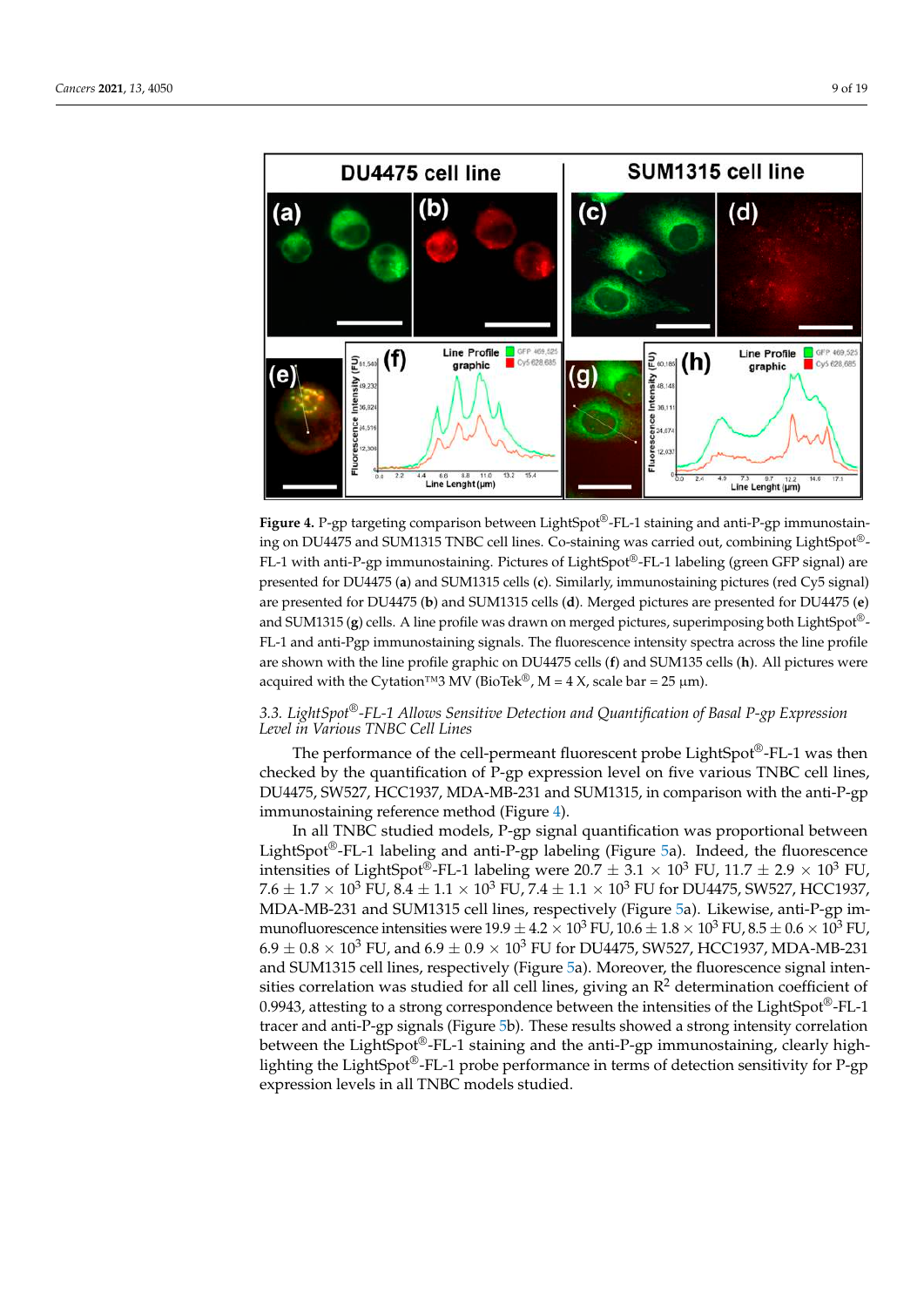<span id="page-8-0"></span>

**Figure 4.** P-gp targeting comparison between LightSpot®-FL-1 staining and anti-P-gp **Figure 4.** P-gp targeting comparison between LightSpot®-FL-1 staining and anti-P-gp immunostaining on DU4475 and SUM1315 TNBC cell lines. Co-staining was carried out, combining LightSpot®-LightSpot®-FL-1 with anti-P-gp immunostaining. Pictures of LightSpot®-FL-1 labeling (green GFP FL-1 with anti-P-gp immunostaining. Pictures of LightSpot®-FL-1 labeling (green GFP signal) are  $\epsilon$  I with and T  $\beta$ <sup>p</sup> minianostaming, Tetates of Eightopot TET fabering (green of T signal) are presented for DU4475 (a) and SUM1315 cells (c). Similarly, immunostaining pictures (red Cy5 signal) are presented for DU4475 (**b**) and SUM1315 cells (**d**). Merged pictures are presented for DU4475 (**e**) and SUM1315 **(g**) cells. A line profile was drawn on merged pictures, superimposing both LightSpot®-FL-1 and anti-Pgp immunostaining signals. The fluorescence intensity spectra across the line profile are shown with the line profile graphic on DU4475 cells (f) and SUM135 cells (h). All pictures were *3.3. LightSpot®-FL-1 Allows Sensitive Detection and Quantification of Basal P-gp Expression*  acquired with the Cytation™3 MV (BioTek®, M = 4 X, scale bar = 25 µm).

#### *Level in Various TNBC Cell Lines 3.3. LightSpot®-FL-1 Allows Sensitive Detection and Quantification of Basal P-gp Expression*  $T_{\rm H}$  represent performance of the cell-permeant fluorescent probe  $\frac{1}{2}$ *Level in Various TNBC Cell Lines*

The performance of the cell-permeant fluorescent probe LightSpot®-FL-1 was then  $\alpha$  checked by the quantification of P-gp expression level on five various TNBC cell lines, DU4475, SW527, HCC1937, MDA-MB-231 and SUM1315, in comparison with the anti-P-gp immunostaining reference method (Figure 4).

In all TNBC studied models, P-gp signal quantification was proportional between LightSpot<sup>®</sup>-FL-1 labeling and anti-P-gp labeling (Figure [5a](#page-9-0)). Indeed, the fluorescence intensities of LightSpot®-FL-1 labeling were  $20.7 \pm 3.1 \times 10^3$  FU,  $11.7 \pm 2.9 \times 10^3$  FU,  $7.6 \pm 1.7 \times 10^3$  FU,  $8.4 \pm 1.1 \times 10^3$  FU,  $7.4 \pm 1.1 \times 10^3$  FU for DU4475, SW527, HCC1937, MDA-MB-231 and SUM1315 cell lines, respectively (Figure [5a](#page-9-0)). Likewise, anti-P-gp immunofluorescence intensities were  $19.9 \pm 4.2 \times 10^3$  FU,  $10.6 \pm 1.8 \times 10^3$  FU,  $8.5 \pm 0.6 \times 10^3$  FU,  $6.9 \pm 0.8 \times 10^3$  FU, and  $6.9 \pm 0.9 \times 10^3$  FU for DU4475, SW527, HCC1937, MDA-MB-231 and SUM1315 cell lines, respectively (Figure 5a). Moreover, the fluorescence signal intensities correlation was studied for all cell lines, giving an  $R^2$  determination coefficient of 0.9943, attesting to a strong correspondence between the intensities of the LightSpot®-FL-1 tracer and anti-P-gp signals (Figure [5b](#page-9-0)). These results showed a strong intensity correlation between the LightSpot<sup>®</sup>-FL-1 staining and the anti-P-gp immunostaining, clearly highlighting the LightSpot®-FL-1 probe performance in terms of detection sensitivity for P-gp expression levels in all TNBC models studied.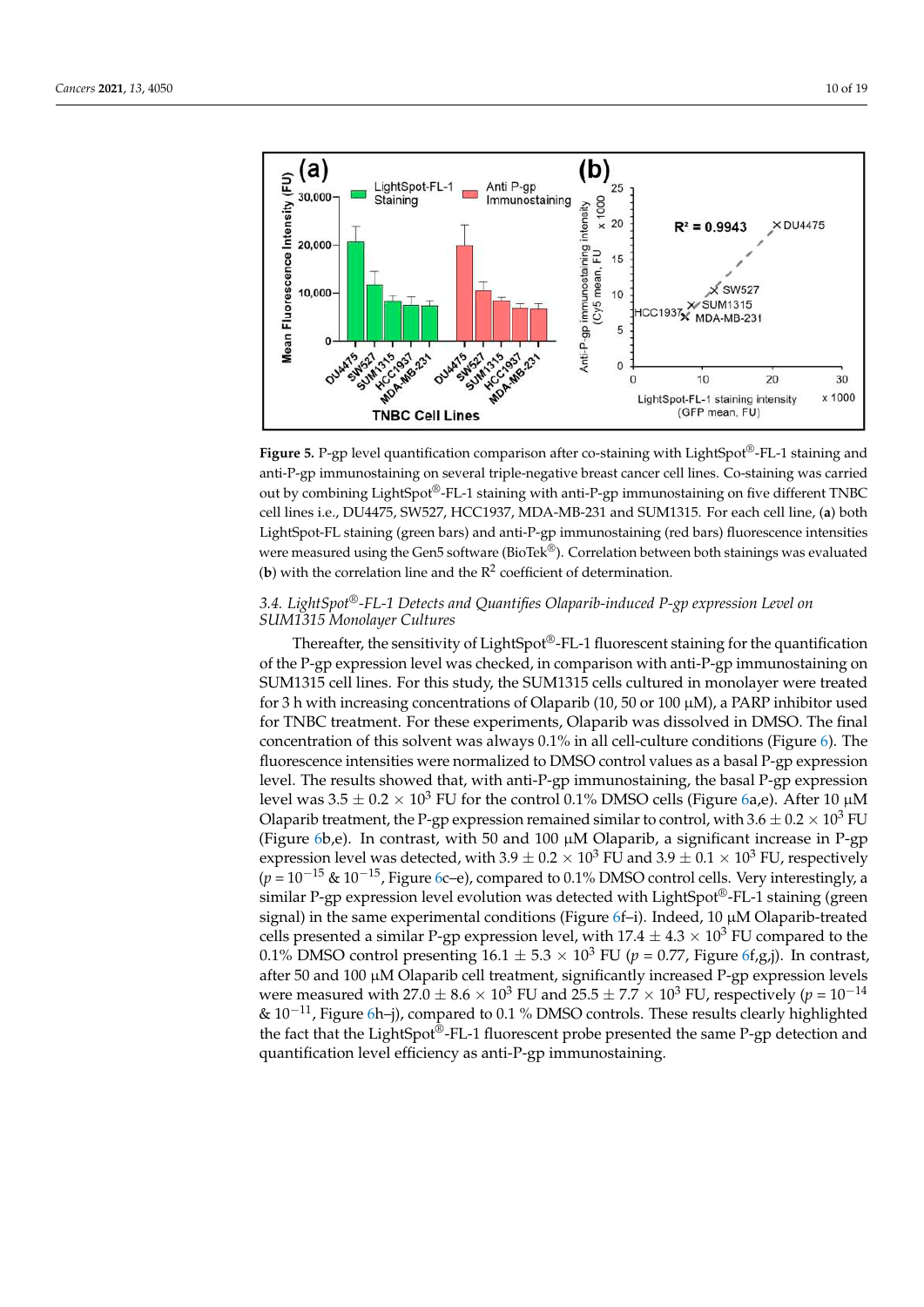<span id="page-9-0"></span>

**Figure 5.** P-gp level quantification comparison after co-staining with LightSpot®-FL-1 staining and anti-P-gp immunostaining on several triple-negative breast cancer cell lines. Co-staining was carried anti-P-gp immunostaining on several triple-negative breast cancer cell lines. Co-staining was carried out by combining LightSpot®-FL-1 staining with anti-P-gp immunostaining on five different TNBC cell lines i.e., DU4475, SW527, HCC1937, MDA-MB-231 and SUM1315. For each cell line, (**a**) both cell lines i.e., DU4475, SW527, HCC1937, MDA-MB-231 and SUM1315. For each cell line, (**a**) both LightSpot-FL staining (green bars) and anti-P-gp immunostaining (red bars) fluorescence intensities LightSpot-FL staining (green bars) and anti-P-gp immunostaining (red bars) fluorescence intensities<br>were measured using the Gen5 software (BioTek®). Correlation between both stainings was evaluated (**b**) with the correlation line and the  $R^2$  coefficient of determination. **Figure 5.** P-gp level quantification comparison after co-staining with LightSpot®-FL-1 staining and

# *3.4. LightSpot®-FL-1 Detects and Quantifies Olaparib-induced P-gp expression Level on 3.4. LightSpot®-FL-1 Detects and Quantifies Olaparib-induced P-gp expression Level on SUM1315 Monolayer Cultures SUM1315 Monolayer Cultures*

Thereafter, the sensitivity of LightSpot<sup>®</sup>-FL-1 fluorescent staining for the quantification of the P-gp expression level was checked, in comparison with anti-P-gp immunostaining on SUM1315 cell lines. For this study, the SUM1315 cells cultured in monolayer were treated<br>Contract in the SUM1315 cells cultured in monolayer were treated for 3 h with increasing concentrations of Olaparib (10, 50 or 100  $\mu$ M), a PARP inhibitor used for TNBC treatment. For these experiments, Olaparib was dissolved in DMSO. The final concentration of this solvent was always 0.1% in all cell-culture conditions (Figure [6\)](#page-10-0). The culture conditions (Figure 6). The fluorescence intensity of the fluorescence intensity of DMSO continuous as a basal  $1$  -gp expression level. The results showed that, with anti-P-gp immunostaining, the basal P-gp expression<br>level. The results showed that, with anti-P-gp immunostaining, the basal P-gp expression Olaparib treatment, the P-gp expression remained similar to control, with  $3.6 \pm 0.2 \times 10^3$  FU Olaparib treatment, the P-gp expression remained similar to control, with  $3.6 \pm 0.2 \times 10^3$  FU Capario detailed treatment, the P-gp expression remained similar to control, while  $0.2 \times 10^{-1}$  C (Figure [6b](#page-10-0),e). In contrast, with 50 and 100  $\mu$ M Olaparib, a significant increase in P-gp expression level was detected, with  $3.9 \pm 0.2 \times 10^3$  FU and  $3.9 \pm 0.1 \times 10^3$  FU, respectively  $(p=10^{-15}$  &  $10^{-15}$ , Figure [6c](#page-10-0)–e), compared to 0.1% DMSO control cells. Very interestingly, a function of the state of the state of the state of the state of the state of the state of the state state of the state state state state state of the state of the state state of the state of the state of the state of the  $S$  contract a signal) in the same experimental conditions (Figure [6f](#page-10-0)–i). Indeed, 10  $\mu$ M Olaparib-treated cells presented a similar P-gp expression level, with  $17.4 \pm 4.3 \times 10^3$  FU compared to the 0.1% DMSO control presenting  $16.1 \pm 5.3 \times 10^3$  FU ( $p = 0.77$ , Figure [6f](#page-10-0),g,j). In contrast, after 50 and 100  $\mu$ M Olaparib cell treatment, significantly increased P-gp expression levels were measured with  $27.0 \pm 8.6 \times 10^3$  FU and  $25.5 \pm 7.7 \times 10^3$  FU, respectively ( $p = 10^{-14}$ ) & 10<sup>−11</sup>, Figure [6h](#page-10-0)–j), compared to 0.1 % DMSO controls. These results clearly highlighted the fact that the LightSpot®-FL-1 fluorescent probe presented the same P-gp detection and quantification level efficiency as anti-P-gp immunostaining. probe presented the same P-gp detection and  $\frac{1}{2}$ fluorescence intensities were normalized to DMSO control values as a basal P-gp expression level was  $3.5 \pm 0.2 \times 10^3$  FU for the control 0.1% DMSO cells (Figure [6a](#page-10-0),e). After 10  $\mu$ M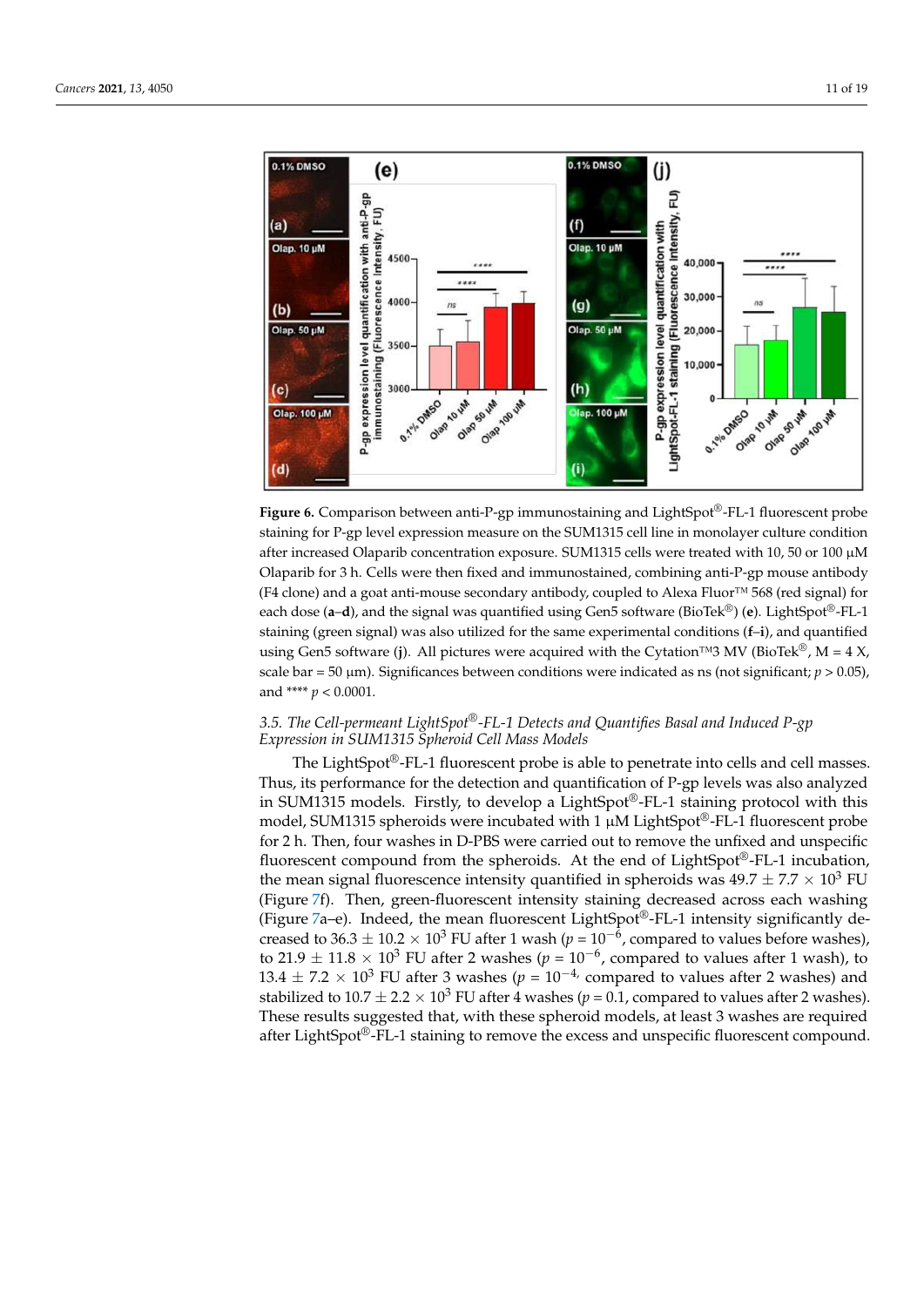<span id="page-10-0"></span>

**Figure 6.** Comparison between anti-P-gp immunostaining and LightSpot®-FL-1 fluorescent probe staining for P-gp level expression measure on the SUM1315 cell line in monolayer culture condition after increased Olaparib concentration exposure. SUM1315 cells were treated with 10, 50 or 100 µM Olaparib for 3 h. Cells were then fixed and immunostained, combining anti-P-gp mouse antibody (F4 clone) and a goat anti-mouse secondary antibody, coupled to Alexa Fluor™ 568 (red signal) for each dose (**a**–**d**), and the signal was quantified using Gen5 software (BioTek®) (**e**). LightSpot®-FL-1 staining (green signal) was also utilized for the same experimental conditions (**f**–**i**), and quantified using Gen5 software (**j**). All pictures were acquired with the Cytation™3 MV (BioTek<sup>®</sup>, M = 4 X, scale bar = 50 µm). Significances between conditions were indicated as ns (not significant; *p* > 0.05), and \*\*\*\* *p* < 0.0001.

## *3.5. The Cell-permeant LightSpot®-FL-1 Detects and Quantifies Basal and Induced P-gp Expression in SUM1315 Spheroid Cell Mass Models*

The LightSpot®-FL-1 fluorescent probe is able to penetrate into cells and cell masses. Thus, its performance for the detection and quantification of P-gp levels was also analyzed in SUM1315 models. Firstly, to develop a LightSpot®-FL-1 staining protocol with this model, SUM1315 spheroids were incubated with 1  $\mu$ M LightSpot®-FL-1 fluorescent probe for 2 h. Then, four washes in D-PBS were carried out to remove the unfixed and unspecific fluorescent compound from the spheroids. At the end of LightSpot®-FL-1 incubation, the mean signal fluorescence intensity quantified in spheroids was  $49.7 \pm 7.7 \times 10^3$  FU (Figure [7f](#page-11-0)). Then, green-fluorescent intensity staining decreased across each washing (Figure [7a](#page-11-0)–e). Indeed, the mean fluorescent LightSpot<sup>®</sup>-FL-1 intensity significantly decreased to 36.3  $\pm$  10.2  $\times$  10<sup>3</sup> FU after 1 wash ( $p = 10^{-6}$ , compared to values before washes), to 21.9  $\pm$  11.8 × 10<sup>3</sup> FU after 2 washes ( $p = 10^{-6}$ , compared to values after 1 wash), to  $13.4 \pm 7.2 \times 10^3$  FU after 3 washes ( $p = 10^{-4}$ , compared to values after 2 washes) and stabilized to  $10.7 \pm 2.2 \times 10^3$  FU after 4 washes ( $p = 0.1$ , compared to values after 2 washes). These results suggested that, with these spheroid models, at least 3 washes are required after LightSpot®-FL-1 staining to remove the excess and unspecific fluorescent compound.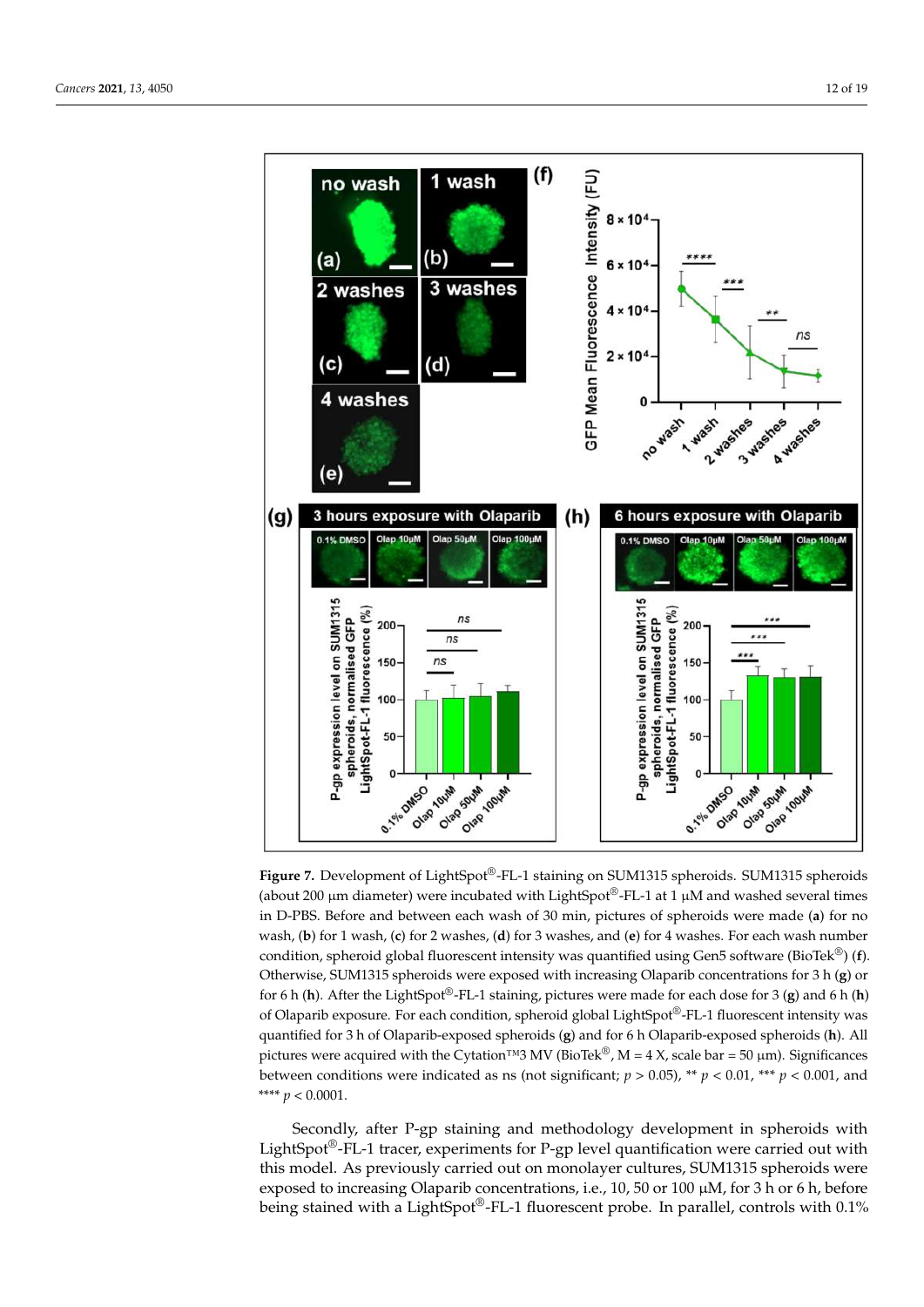<span id="page-11-0"></span>

**Figure 7.** Development of LightSpot®-FL-1 staining on SUM1315 spheroids. SUM1315 spheroids (about 200 µm diameter) were incubated with LightSpot®-FL-1 at 1 µM and washed several times in D-PBS. Before and between each wash of 30 min, pictures of spheroids were made (**a**) for no wash, (**b**) for 1 wash, (**c**) for 2 washes, (**d**) for 3 washes, and (**e**) for 4 washes. For each wash number condition, spheroid global fluorescent intensity was quantified using Gen5 software (BioTek®) (**f**). Otherwise, SUM1315 spheroids were exposed with increasing Olaparib concentrations for 3 h (**g**) or for 6 h (**h**). After the LightSpot®-FL-1 staining, pictures were made for each dose for 3 (**g**) and 6 h (**h**) of Olaparib exposure. For each condition, spheroid global LightSpot®-FL-1 fluorescent intensity was quantified for 3 h of Olaparib-exposed spheroids (**g**) and for 6 h Olaparib-exposed spheroids (**h**). All pictures were acquired with the Cytation™3 MV (BioTek®, M = 4 X, scale bar = 50 µm). Significances between conditions were indicated as ns (not significant;  $p > 0.05$ ), \*\*  $p < 0.01$ , \*\*\*  $p < 0.001$ , and \*\*\*\*  $p < 0.0001$ .

Secondly, after P-gp staining and methodology development in spheroids with LightSpot<sup>®</sup>-FL-1 tracer, experiments for P-gp level quantification were carried out with this model. As previously carried out on monolayer cultures, SUM1315 spheroids were exposed to increasing Olaparib concentrations, i.e., 10, 50 or 100 µM, for 3 h or 6 h, before being stained with a LightSpot®-FL-1 fluorescent probe. In parallel, controls with 0.1%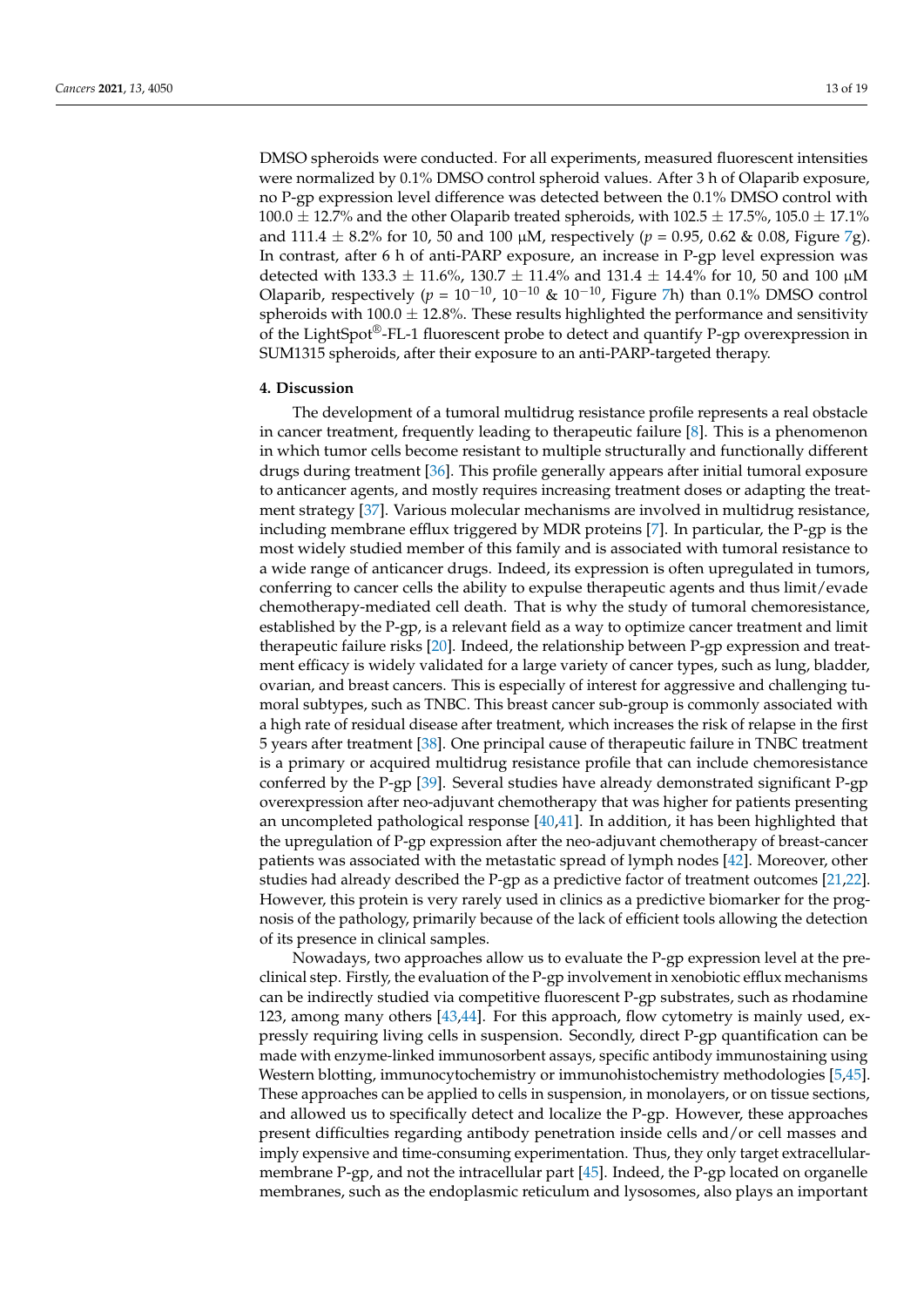DMSO spheroids were conducted. For all experiments, measured fluorescent intensities were normalized by 0.1% DMSO control spheroid values. After 3 h of Olaparib exposure, no P-gp expression level difference was detected between the 0.1% DMSO control with 100.0  $\pm$  12.7% and the other Olaparib treated spheroids, with 102.5  $\pm$  17.5%, 105.0  $\pm$  17.1% and 111.4  $\pm$  8.2% for 10, 50 and 100  $\mu$ M, respectively ( $p = 0.95$ , 0.62 & 0.08, Figure [7g](#page-11-0)). In contrast, after 6 h of anti-PARP exposure, an increase in P-gp level expression was detected with 133.3  $\pm$  11.6%, 130.7  $\pm$  11.4% and 131.4  $\pm$  14.4% for 10, 50 and 100  $\mu$ M Olaparib, respectively ( $p = 10^{-10}$ ,  $10^{-10}$  &  $10^{-10}$ , Figure [7h](#page-11-0)) than 0.1% DMSO control spheroids with  $100.0 \pm 12.8$ %. These results highlighted the performance and sensitivity of the LightSpot<sup>®</sup>-FL-1 fluorescent probe to detect and quantify P-gp overexpression in SUM1315 spheroids, after their exposure to an anti-PARP-targeted therapy.

#### **4. Discussion**

The development of a tumoral multidrug resistance profile represents a real obstacle in cancer treatment, frequently leading to therapeutic failure [\[8\]](#page-16-4). This is a phenomenon in which tumor cells become resistant to multiple structurally and functionally different drugs during treatment [\[36\]](#page-17-8). This profile generally appears after initial tumoral exposure to anticancer agents, and mostly requires increasing treatment doses or adapting the treatment strategy [\[37\]](#page-17-9). Various molecular mechanisms are involved in multidrug resistance, including membrane efflux triggered by MDR proteins [\[7\]](#page-16-3). In particular, the P-gp is the most widely studied member of this family and is associated with tumoral resistance to a wide range of anticancer drugs. Indeed, its expression is often upregulated in tumors, conferring to cancer cells the ability to expulse therapeutic agents and thus limit/evade chemotherapy-mediated cell death. That is why the study of tumoral chemoresistance, established by the P-gp, is a relevant field as a way to optimize cancer treatment and limit therapeutic failure risks [\[20\]](#page-16-14). Indeed, the relationship between P-gp expression and treatment efficacy is widely validated for a large variety of cancer types, such as lung, bladder, ovarian, and breast cancers. This is especially of interest for aggressive and challenging tumoral subtypes, such as TNBC. This breast cancer sub-group is commonly associated with a high rate of residual disease after treatment, which increases the risk of relapse in the first 5 years after treatment [\[38\]](#page-17-10). One principal cause of therapeutic failure in TNBC treatment is a primary or acquired multidrug resistance profile that can include chemoresistance conferred by the P-gp [\[39\]](#page-17-11). Several studies have already demonstrated significant P-gp overexpression after neo-adjuvant chemotherapy that was higher for patients presenting an uncompleted pathological response [\[40](#page-17-12)[,41\]](#page-17-13). In addition, it has been highlighted that the upregulation of P-gp expression after the neo-adjuvant chemotherapy of breast-cancer patients was associated with the metastatic spread of lymph nodes [\[42\]](#page-17-14). Moreover, other studies had already described the P-gp as a predictive factor of treatment outcomes [\[21](#page-16-15)[,22\]](#page-16-16). However, this protein is very rarely used in clinics as a predictive biomarker for the prognosis of the pathology, primarily because of the lack of efficient tools allowing the detection of its presence in clinical samples.

Nowadays, two approaches allow us to evaluate the P-gp expression level at the preclinical step. Firstly, the evaluation of the P-gp involvement in xenobiotic efflux mechanisms can be indirectly studied via competitive fluorescent P-gp substrates, such as rhodamine 123, among many others [\[43](#page-17-15)[,44\]](#page-17-16). For this approach, flow cytometry is mainly used, expressly requiring living cells in suspension. Secondly, direct P-gp quantification can be made with enzyme-linked immunosorbent assays, specific antibody immunostaining using Western blotting, immunocytochemistry or immunohistochemistry methodologies [\[5,](#page-16-20)[45\]](#page-17-17). These approaches can be applied to cells in suspension, in monolayers, or on tissue sections, and allowed us to specifically detect and localize the P-gp. However, these approaches present difficulties regarding antibody penetration inside cells and/or cell masses and imply expensive and time-consuming experimentation. Thus, they only target extracellularmembrane P-gp, and not the intracellular part [\[45\]](#page-17-17). Indeed, the P-gp located on organelle membranes, such as the endoplasmic reticulum and lysosomes, also plays an important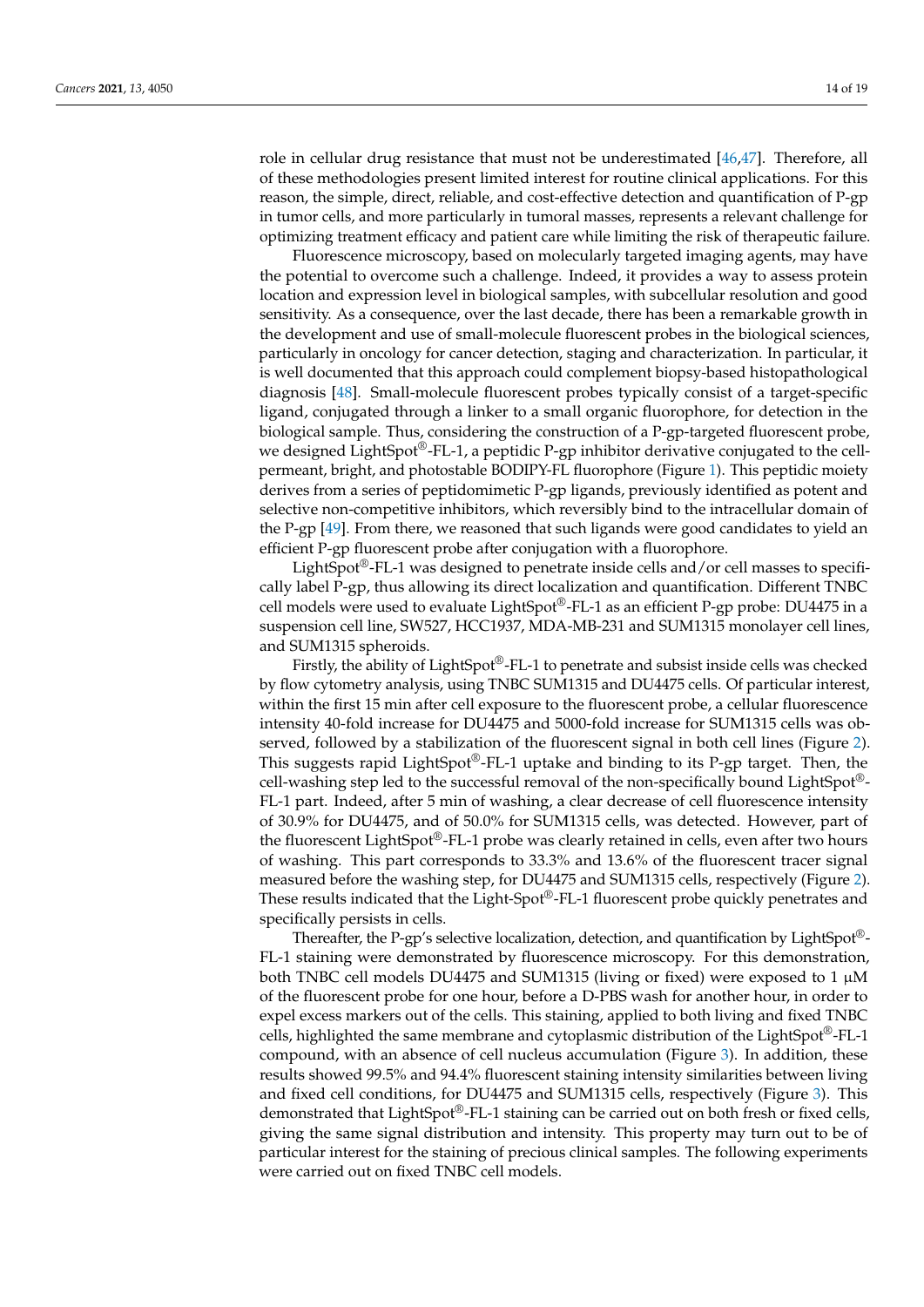role in cellular drug resistance that must not be underestimated [\[46,](#page-17-18)[47\]](#page-17-19). Therefore, all of these methodologies present limited interest for routine clinical applications. For this reason, the simple, direct, reliable, and cost-effective detection and quantification of P-gp in tumor cells, and more particularly in tumoral masses, represents a relevant challenge for optimizing treatment efficacy and patient care while limiting the risk of therapeutic failure.

Fluorescence microscopy, based on molecularly targeted imaging agents, may have the potential to overcome such a challenge. Indeed, it provides a way to assess protein location and expression level in biological samples, with subcellular resolution and good sensitivity. As a consequence, over the last decade, there has been a remarkable growth in the development and use of small-molecule fluorescent probes in the biological sciences, particularly in oncology for cancer detection, staging and characterization. In particular, it is well documented that this approach could complement biopsy-based histopathological diagnosis [\[48\]](#page-17-20). Small-molecule fluorescent probes typically consist of a target-specific ligand, conjugated through a linker to a small organic fluorophore, for detection in the biological sample. Thus, considering the construction of a P-gp-targeted fluorescent probe, we designed LightSpot®-FL-1, a peptidic P-gp inhibitor derivative conjugated to the cellpermeant, bright, and photostable BODIPY-FL fluorophore (Figure [1\)](#page-5-0). This peptidic moiety derives from a series of peptidomimetic P-gp ligands, previously identified as potent and selective non-competitive inhibitors, which reversibly bind to the intracellular domain of the P-gp [\[49\]](#page-18-0). From there, we reasoned that such ligands were good candidates to yield an efficient P-gp fluorescent probe after conjugation with a fluorophore.

LightSpot®-FL-1 was designed to penetrate inside cells and/or cell masses to specifically label P-gp, thus allowing its direct localization and quantification. Different TNBC cell models were used to evaluate LightSpot®-FL-1 as an efficient P-gp probe: DU4475 in a suspension cell line, SW527, HCC1937, MDA-MB-231 and SUM1315 monolayer cell lines, and SUM1315 spheroids.

Firstly, the ability of LightSpot®-FL-1 to penetrate and subsist inside cells was checked by flow cytometry analysis, using TNBC SUM1315 and DU4475 cells. Of particular interest, within the first 15 min after cell exposure to the fluorescent probe, a cellular fluorescence intensity 40-fold increase for DU4475 and 5000-fold increase for SUM1315 cells was observed, followed by a stabilization of the fluorescent signal in both cell lines (Figure [2\)](#page-6-0). This suggests rapid LightSpot®-FL-1 uptake and binding to its P-gp target. Then, the cell-washing step led to the successful removal of the non-specifically bound LightSpot®- FL-1 part. Indeed, after 5 min of washing, a clear decrease of cell fluorescence intensity of 30.9% for DU4475, and of 50.0% for SUM1315 cells, was detected. However, part of the fluorescent LightSpot®-FL-1 probe was clearly retained in cells, even after two hours of washing. This part corresponds to 33.3% and 13.6% of the fluorescent tracer signal measured before the washing step, for DU4475 and SUM1315 cells, respectively (Figure [2\)](#page-6-0). These results indicated that the Light-Spot®-FL-1 fluorescent probe quickly penetrates and specifically persists in cells.

Thereafter, the P-gp's selective localization, detection, and quantification by LightSpot®-FL-1 staining were demonstrated by fluorescence microscopy. For this demonstration, both TNBC cell models DU4475 and SUM1315 (living or fixed) were exposed to 1 µM of the fluorescent probe for one hour, before a D-PBS wash for another hour, in order to expel excess markers out of the cells. This staining, applied to both living and fixed TNBC cells, highlighted the same membrane and cytoplasmic distribution of the LightSpot®-FL-1 compound, with an absence of cell nucleus accumulation (Figure [3\)](#page-7-0). In addition, these results showed 99.5% and 94.4% fluorescent staining intensity similarities between living and fixed cell conditions, for DU4475 and SUM1315 cells, respectively (Figure [3\)](#page-7-0). This demonstrated that LightSpot®-FL-1 staining can be carried out on both fresh or fixed cells, giving the same signal distribution and intensity. This property may turn out to be of particular interest for the staining of precious clinical samples. The following experiments were carried out on fixed TNBC cell models.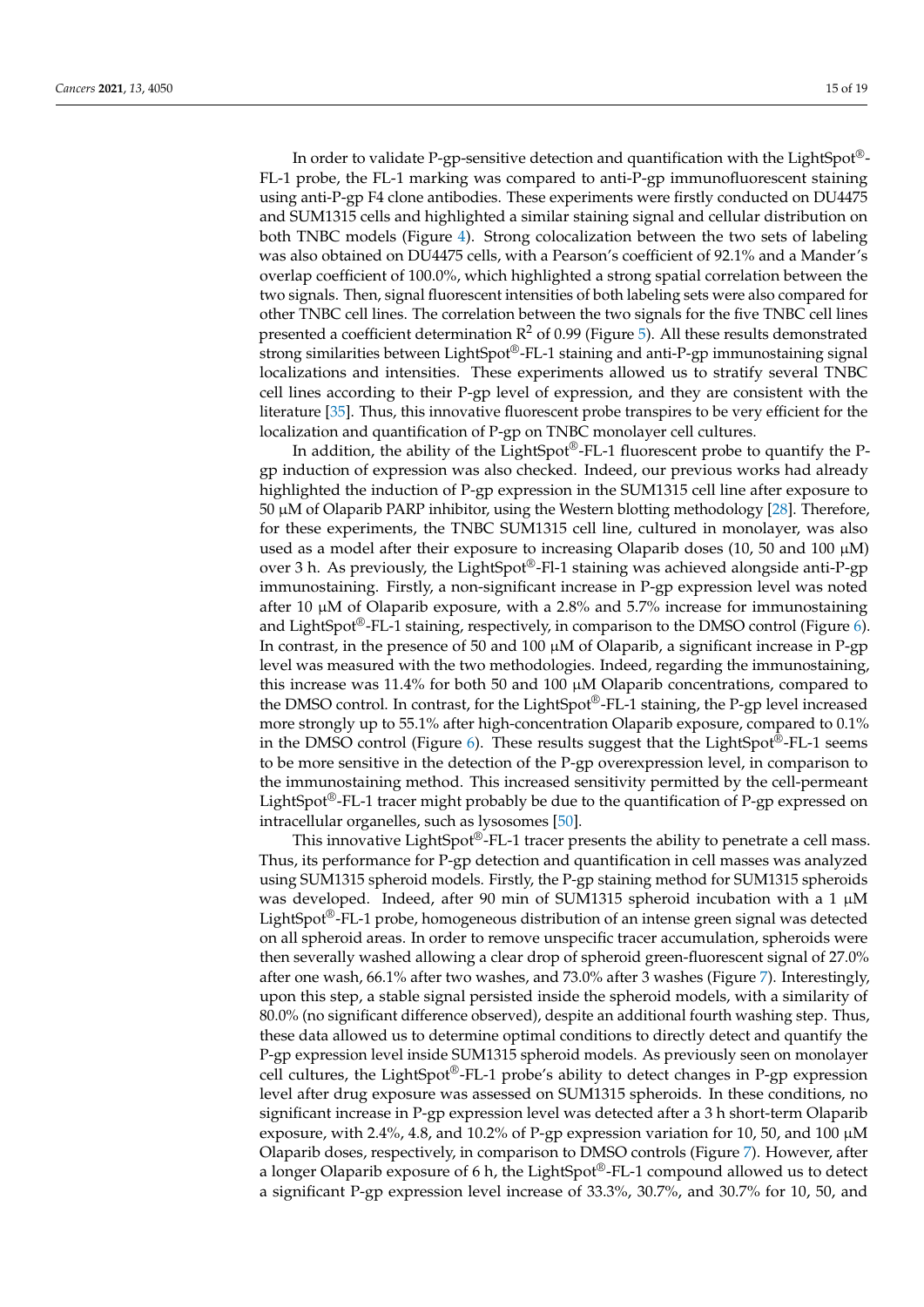In order to validate P-gp-sensitive detection and quantification with the LightSpot®- FL-1 probe, the FL-1 marking was compared to anti-P-gp immunofluorescent staining using anti-P-gp F4 clone antibodies. These experiments were firstly conducted on DU4475 and SUM1315 cells and highlighted a similar staining signal and cellular distribution on both TNBC models (Figure [4\)](#page-8-0). Strong colocalization between the two sets of labeling was also obtained on DU4475 cells, with a Pearson's coefficient of 92.1% and a Mander's overlap coefficient of 100.0%, which highlighted a strong spatial correlation between the two signals. Then, signal fluorescent intensities of both labeling sets were also compared for other TNBC cell lines. The correlation between the two signals for the five TNBC cell lines presented a coefficient determination  $\mathbb{R}^2$  of 0.99 (Figure [5\)](#page-9-0). All these results demonstrated strong similarities between LightSpot®-FL-1 staining and anti-P-gp immunostaining signal localizations and intensities. These experiments allowed us to stratify several TNBC cell lines according to their P-gp level of expression, and they are consistent with the literature [\[35\]](#page-17-7). Thus, this innovative fluorescent probe transpires to be very efficient for the localization and quantification of P-gp on TNBC monolayer cell cultures.

In addition, the ability of the LightSpot®-FL-1 fluorescent probe to quantify the Pgp induction of expression was also checked. Indeed, our previous works had already highlighted the induction of P-gp expression in the SUM1315 cell line after exposure to 50 µM of Olaparib PARP inhibitor, using the Western blotting methodology [\[28\]](#page-17-2). Therefore, for these experiments, the TNBC SUM1315 cell line, cultured in monolayer, was also used as a model after their exposure to increasing Olaparib doses (10, 50 and 100  $\mu$ M) over 3 h. As previously, the LightSpot®-Fl-1 staining was achieved alongside anti-P-gp immunostaining. Firstly, a non-significant increase in P-gp expression level was noted after 10  $\mu$ M of Olaparib exposure, with a 2.8% and 5.7% increase for immunostaining and LightSpot<sup>®</sup>-FL-1 staining, respectively, in comparison to the DMSO control (Figure [6\)](#page-10-0). In contrast, in the presence of 50 and 100  $\mu$ M of Olaparib, a significant increase in P-gp level was measured with the two methodologies. Indeed, regarding the immunostaining, this increase was 11.4% for both 50 and 100 µM Olaparib concentrations, compared to the DMSO control. In contrast, for the LightSpot®-FL-1 staining, the P-gp level increased more strongly up to 55.1% after high-concentration Olaparib exposure, compared to 0.1% in the DMSO control (Figure [6\)](#page-10-0). These results suggest that the LightSpot®-FL-1 seems to be more sensitive in the detection of the P-gp overexpression level, in comparison to the immunostaining method. This increased sensitivity permitted by the cell-permeant LightSpot<sup>®</sup>-FL-1 tracer might probably be due to the quantification of P-gp expressed on intracellular organelles, such as lysosomes [\[50\]](#page-18-1).

This innovative LightSpot®-FL-1 tracer presents the ability to penetrate a cell mass. Thus, its performance for P-gp detection and quantification in cell masses was analyzed using SUM1315 spheroid models. Firstly, the P-gp staining method for SUM1315 spheroids was developed. Indeed, after 90 min of SUM1315 spheroid incubation with a 1  $\mu$ M LightSpot<sup>®</sup>-FL-1 probe, homogeneous distribution of an intense green signal was detected on all spheroid areas. In order to remove unspecific tracer accumulation, spheroids were then severally washed allowing a clear drop of spheroid green-fluorescent signal of 27.0% after one wash, 66.1% after two washes, and 73.0% after 3 washes (Figure [7\)](#page-11-0). Interestingly, upon this step, a stable signal persisted inside the spheroid models, with a similarity of 80.0% (no significant difference observed), despite an additional fourth washing step. Thus, these data allowed us to determine optimal conditions to directly detect and quantify the P-gp expression level inside SUM1315 spheroid models. As previously seen on monolayer cell cultures, the LightSpot®-FL-1 probe's ability to detect changes in P-gp expression level after drug exposure was assessed on SUM1315 spheroids. In these conditions, no significant increase in P-gp expression level was detected after a 3 h short-term Olaparib exposure, with 2.4%, 4.8, and 10.2% of P-gp expression variation for 10, 50, and 100 µM Olaparib doses, respectively, in comparison to DMSO controls (Figure [7\)](#page-11-0). However, after a longer Olaparib exposure of 6 h, the LightSpot®-FL-1 compound allowed us to detect a significant P-gp expression level increase of 33.3%, 30.7%, and 30.7% for 10, 50, and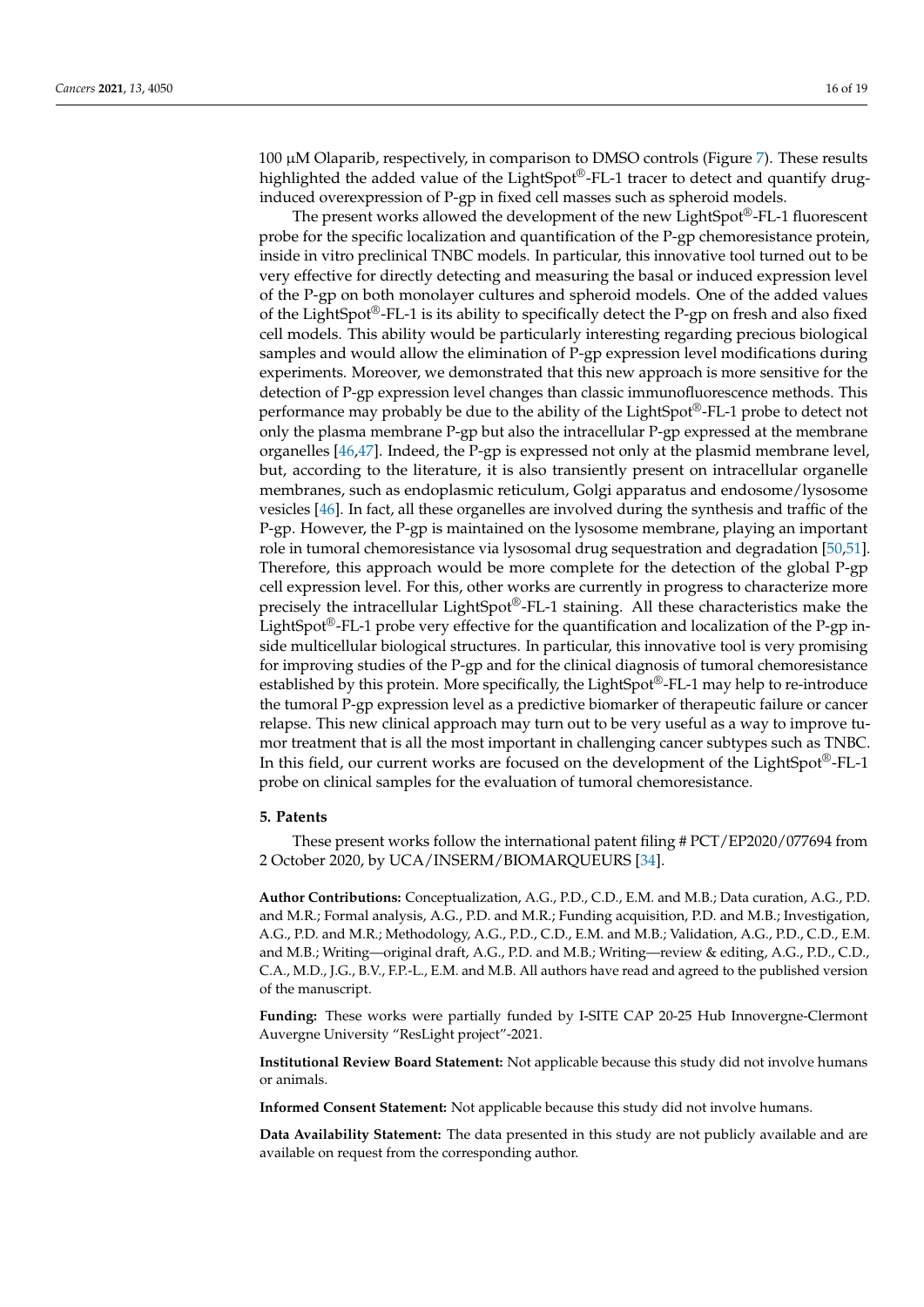100 µM Olaparib, respectively, in comparison to DMSO controls (Figure [7\)](#page-11-0). These results highlighted the added value of the LightSpot®-FL-1 tracer to detect and quantify druginduced overexpression of P-gp in fixed cell masses such as spheroid models.

The present works allowed the development of the new LightSpot®-FL-1 fluorescent probe for the specific localization and quantification of the P-gp chemoresistance protein, inside in vitro preclinical TNBC models. In particular, this innovative tool turned out to be very effective for directly detecting and measuring the basal or induced expression level of the P-gp on both monolayer cultures and spheroid models. One of the added values of the LightSpot®-FL-1 is its ability to specifically detect the P-gp on fresh and also fixed cell models. This ability would be particularly interesting regarding precious biological samples and would allow the elimination of P-gp expression level modifications during experiments. Moreover, we demonstrated that this new approach is more sensitive for the detection of P-gp expression level changes than classic immunofluorescence methods. This performance may probably be due to the ability of the LightSpot®-FL-1 probe to detect not only the plasma membrane P-gp but also the intracellular P-gp expressed at the membrane organelles [\[46](#page-17-18)[,47\]](#page-17-19). Indeed, the P-gp is expressed not only at the plasmid membrane level, but, according to the literature, it is also transiently present on intracellular organelle membranes, such as endoplasmic reticulum, Golgi apparatus and endosome/lysosome vesicles [\[46\]](#page-17-18). In fact, all these organelles are involved during the synthesis and traffic of the P-gp. However, the P-gp is maintained on the lysosome membrane, playing an important role in tumoral chemoresistance via lysosomal drug sequestration and degradation [\[50](#page-18-1)[,51\]](#page-18-2). Therefore, this approach would be more complete for the detection of the global P-gp cell expression level. For this, other works are currently in progress to characterize more precisely the intracellular LightSpot®-FL-1 staining. All these characteristics make the LightSpot<sup>®</sup>-FL-1 probe very effective for the quantification and localization of the P-gp inside multicellular biological structures. In particular, this innovative tool is very promising for improving studies of the P-gp and for the clinical diagnosis of tumoral chemoresistance established by this protein. More specifically, the LightSpot<sup>®</sup>-FL-1 may help to re-introduce the tumoral P-gp expression level as a predictive biomarker of therapeutic failure or cancer relapse. This new clinical approach may turn out to be very useful as a way to improve tumor treatment that is all the most important in challenging cancer subtypes such as TNBC. In this field, our current works are focused on the development of the LightSpot®-FL-1 probe on clinical samples for the evaluation of tumoral chemoresistance.

#### **5. Patents**

These present works follow the international patent filing # PCT/EP2020/077694 from 2 October 2020, by UCA/INSERM/BIOMARQUEURS [\[34\]](#page-17-6).

**Author Contributions:** Conceptualization, A.G., P.D., C.D., E.M. and M.B.; Data curation, A.G., P.D. and M.R.; Formal analysis, A.G., P.D. and M.R.; Funding acquisition, P.D. and M.B.; Investigation, A.G., P.D. and M.R.; Methodology, A.G., P.D., C.D., E.M. and M.B.; Validation, A.G., P.D., C.D., E.M. and M.B.; Writing—original draft, A.G., P.D. and M.B.; Writing—review & editing, A.G., P.D., C.D., C.A., M.D., J.G., B.V., F.P.-L., E.M. and M.B. All authors have read and agreed to the published version of the manuscript.

**Funding:** These works were partially funded by I-SITE CAP 20-25 Hub Innovergne-Clermont Auvergne University "ResLight project"-2021.

**Institutional Review Board Statement:** Not applicable because this study did not involve humans or animals.

**Informed Consent Statement:** Not applicable because this study did not involve humans.

**Data Availability Statement:** The data presented in this study are not publicly available and are available on request from the corresponding author.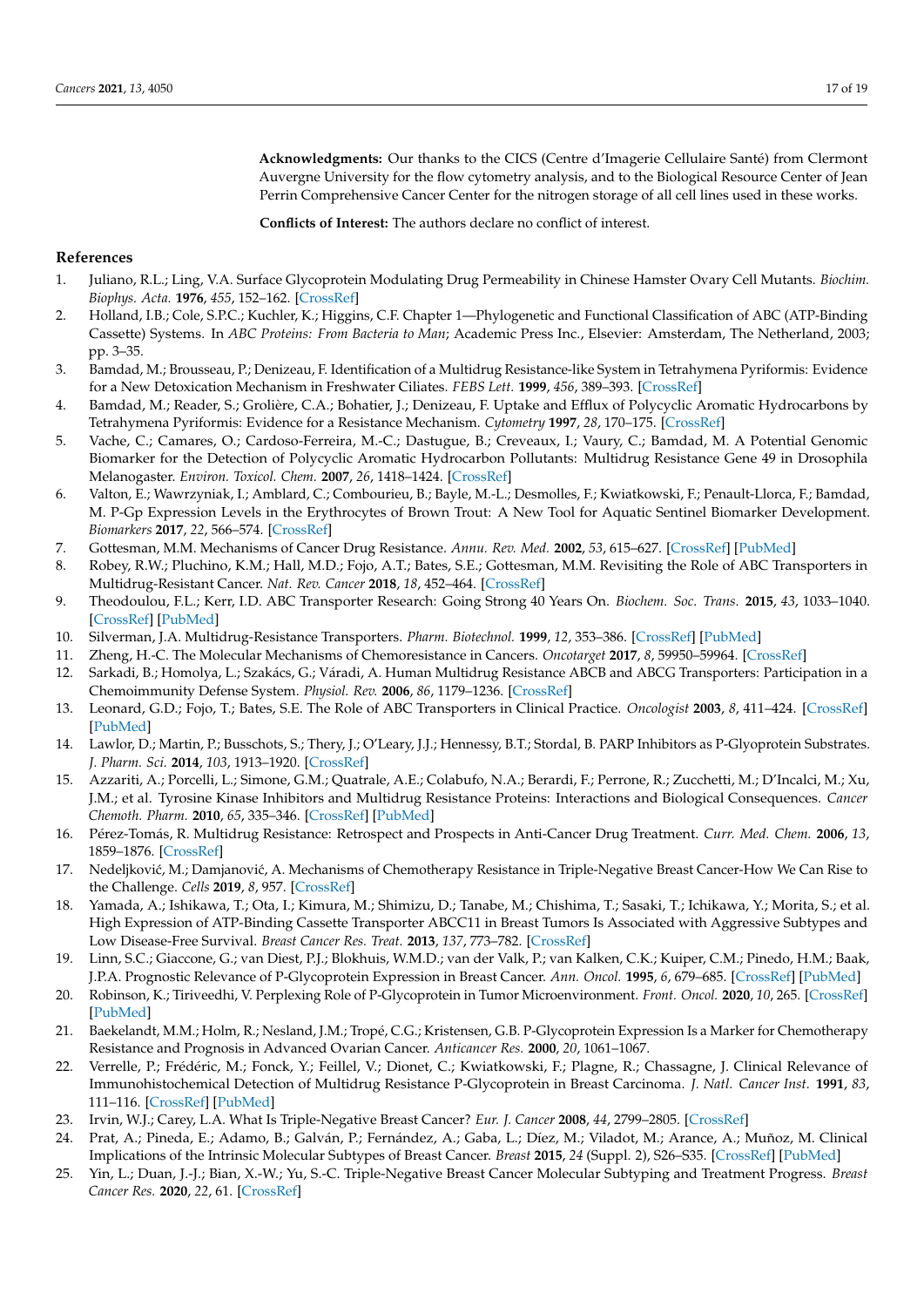**Acknowledgments:** Our thanks to the CICS (Centre d'Imagerie Cellulaire Santé) from Clermont Auvergne University for the flow cytometry analysis, and to the Biological Resource Center of Jean Perrin Comprehensive Cancer Center for the nitrogen storage of all cell lines used in these works.

**Conflicts of Interest:** The authors declare no conflict of interest.

#### **References**

- <span id="page-16-0"></span>1. Juliano, R.L.; Ling, V.A. Surface Glycoprotein Modulating Drug Permeability in Chinese Hamster Ovary Cell Mutants. *Biochim. Biophys. Acta.* **1976**, *455*, 152–162. [\[CrossRef\]](http://doi.org/10.1016/0005-2736(76)90160-7)
- <span id="page-16-1"></span>2. Holland, I.B.; Cole, S.P.C.; Kuchler, K.; Higgins, C.F. Chapter 1—Phylogenetic and Functional Classification of ABC (ATP-Binding Cassette) Systems. In *ABC Proteins: From Bacteria to Man*; Academic Press Inc., Elsevier: Amsterdam, The Netherland, 2003; pp. 3–35.
- 3. Bamdad, M.; Brousseau, P.; Denizeau, F. Identification of a Multidrug Resistance-like System in Tetrahymena Pyriformis: Evidence for a New Detoxication Mechanism in Freshwater Ciliates. *FEBS Lett.* **1999**, *456*, 389–393. [\[CrossRef\]](http://doi.org/10.1016/S0014-5793(99)00978-3)
- 4. Bamdad, M.; Reader, S.; Grolière, C.A.; Bohatier, J.; Denizeau, F. Uptake and Efflux of Polycyclic Aromatic Hydrocarbons by Tetrahymena Pyriformis: Evidence for a Resistance Mechanism. *Cytometry* **1997**, *28*, 170–175. [\[CrossRef\]](http://doi.org/10.1002/(SICI)1097-0320(19970601)28:2<170::AID-CYTO11>3.0.CO;2-N)
- <span id="page-16-20"></span>5. Vache, C.; Camares, O.; Cardoso-Ferreira, M.-C.; Dastugue, B.; Creveaux, I.; Vaury, C.; Bamdad, M. A Potential Genomic Biomarker for the Detection of Polycyclic Aromatic Hydrocarbon Pollutants: Multidrug Resistance Gene 49 in Drosophila Melanogaster. *Environ. Toxicol. Chem.* **2007**, *26*, 1418–1424. [\[CrossRef\]](http://doi.org/10.1897/06-552R.1)
- <span id="page-16-2"></span>6. Valton, E.; Wawrzyniak, I.; Amblard, C.; Combourieu, B.; Bayle, M.-L.; Desmolles, F.; Kwiatkowski, F.; Penault-Llorca, F.; Bamdad, M. P-Gp Expression Levels in the Erythrocytes of Brown Trout: A New Tool for Aquatic Sentinel Biomarker Development. *Biomarkers* **2017**, *22*, 566–574. [\[CrossRef\]](http://doi.org/10.1080/1354750X.2017.1338314)
- <span id="page-16-3"></span>7. Gottesman, M.M. Mechanisms of Cancer Drug Resistance. *Annu. Rev. Med.* **2002**, *53*, 615–627. [\[CrossRef\]](http://doi.org/10.1146/annurev.med.53.082901.103929) [\[PubMed\]](http://www.ncbi.nlm.nih.gov/pubmed/11818492)
- <span id="page-16-4"></span>8. Robey, R.W.; Pluchino, K.M.; Hall, M.D.; Fojo, A.T.; Bates, S.E.; Gottesman, M.M. Revisiting the Role of ABC Transporters in Multidrug-Resistant Cancer. *Nat. Rev. Cancer* **2018**, *18*, 452–464. [\[CrossRef\]](http://doi.org/10.1038/s41568-018-0005-8)
- <span id="page-16-5"></span>9. Theodoulou, F.L.; Kerr, I.D. ABC Transporter Research: Going Strong 40 Years On. *Biochem. Soc. Trans.* **2015**, *43*, 1033–1040. [\[CrossRef\]](http://doi.org/10.1042/BST20150139) [\[PubMed\]](http://www.ncbi.nlm.nih.gov/pubmed/26517919)
- 10. Silverman, J.A. Multidrug-Resistance Transporters. *Pharm. Biotechnol.* **1999**, *12*, 353–386. [\[CrossRef\]](http://doi.org/10.1007/0-306-46812-3_13) [\[PubMed\]](http://www.ncbi.nlm.nih.gov/pubmed/10742982)
- <span id="page-16-6"></span>11. Zheng, H.-C. The Molecular Mechanisms of Chemoresistance in Cancers. *Oncotarget* **2017**, *8*, 59950–59964. [\[CrossRef\]](http://doi.org/10.18632/oncotarget.19048)
- <span id="page-16-7"></span>12. Sarkadi, B.; Homolya, L.; Szakács, G.; Váradi, A. Human Multidrug Resistance ABCB and ABCG Transporters: Participation in a Chemoimmunity Defense System. *Physiol. Rev.* **2006**, *86*, 1179–1236. [\[CrossRef\]](http://doi.org/10.1152/physrev.00037.2005)
- <span id="page-16-8"></span>13. Leonard, G.D.; Fojo, T.; Bates, S.E. The Role of ABC Transporters in Clinical Practice. *Oncologist* **2003**, *8*, 411–424. [\[CrossRef\]](http://doi.org/10.1634/theoncologist.8-5-411) [\[PubMed\]](http://www.ncbi.nlm.nih.gov/pubmed/14530494)
- 14. Lawlor, D.; Martin, P.; Busschots, S.; Thery, J.; O'Leary, J.J.; Hennessy, B.T.; Stordal, B. PARP Inhibitors as P-Glyoprotein Substrates. *J. Pharm. Sci.* **2014**, *103*, 1913–1920. [\[CrossRef\]](http://doi.org/10.1002/jps.23952)
- <span id="page-16-9"></span>15. Azzariti, A.; Porcelli, L.; Simone, G.M.; Quatrale, A.E.; Colabufo, N.A.; Berardi, F.; Perrone, R.; Zucchetti, M.; D'Incalci, M.; Xu, J.M.; et al. Tyrosine Kinase Inhibitors and Multidrug Resistance Proteins: Interactions and Biological Consequences. *Cancer Chemoth. Pharm.* **2010**, *65*, 335–346. [\[CrossRef\]](http://doi.org/10.1007/s00280-009-1039-0) [\[PubMed\]](http://www.ncbi.nlm.nih.gov/pubmed/19495754)
- <span id="page-16-10"></span>16. Pérez-Tomás, R. Multidrug Resistance: Retrospect and Prospects in Anti-Cancer Drug Treatment. *Curr. Med. Chem.* **2006**, *13*, 1859–1876. [\[CrossRef\]](http://doi.org/10.2174/092986706777585077)
- <span id="page-16-11"></span>17. Nedeljković, M.; Damjanović, A. Mechanisms of Chemotherapy Resistance in Triple-Negative Breast Cancer-How We Can Rise to the Challenge. *Cells* **2019**, *8*, 957. [\[CrossRef\]](http://doi.org/10.3390/cells8090957)
- <span id="page-16-12"></span>18. Yamada, A.; Ishikawa, T.; Ota, I.; Kimura, M.; Shimizu, D.; Tanabe, M.; Chishima, T.; Sasaki, T.; Ichikawa, Y.; Morita, S.; et al. High Expression of ATP-Binding Cassette Transporter ABCC11 in Breast Tumors Is Associated with Aggressive Subtypes and Low Disease-Free Survival. *Breast Cancer Res. Treat.* **2013**, *137*, 773–782. [\[CrossRef\]](http://doi.org/10.1007/s10549-012-2398-5)
- <span id="page-16-13"></span>19. Linn, S.C.; Giaccone, G.; van Diest, P.J.; Blokhuis, W.M.D.; van der Valk, P.; van Kalken, C.K.; Kuiper, C.M.; Pinedo, H.M.; Baak, J.P.A. Prognostic Relevance of P-Glycoprotein Expression in Breast Cancer. *Ann. Oncol.* **1995**, *6*, 679–685. [\[CrossRef\]](http://doi.org/10.1093/oxfordjournals.annonc.a059284) [\[PubMed\]](http://www.ncbi.nlm.nih.gov/pubmed/8664189)
- <span id="page-16-14"></span>20. Robinson, K.; Tiriveedhi, V. Perplexing Role of P-Glycoprotein in Tumor Microenvironment. *Front. Oncol.* **2020**, *10*, 265. [\[CrossRef\]](http://doi.org/10.3389/fonc.2020.00265) [\[PubMed\]](http://www.ncbi.nlm.nih.gov/pubmed/32195185)
- <span id="page-16-15"></span>21. Baekelandt, M.M.; Holm, R.; Nesland, J.M.; Tropé, C.G.; Kristensen, G.B. P-Glycoprotein Expression Is a Marker for Chemotherapy Resistance and Prognosis in Advanced Ovarian Cancer. *Anticancer Res.* **2000**, *20*, 1061–1067.
- <span id="page-16-16"></span>22. Verrelle, P.; Frédéric, M.; Fonck, Y.; Feillel, V.; Dionet, C.; Kwiatkowski, F.; Plagne, R.; Chassagne, J. Clinical Relevance of Immunohistochemical Detection of Multidrug Resistance P-Glycoprotein in Breast Carcinoma. *J. Natl. Cancer Inst.* **1991**, *83*, 111–116. [\[CrossRef\]](http://doi.org/10.1093/jnci/83.2.111) [\[PubMed\]](http://www.ncbi.nlm.nih.gov/pubmed/1671103)
- <span id="page-16-17"></span>23. Irvin, W.J.; Carey, L.A. What Is Triple-Negative Breast Cancer? *Eur. J. Cancer* **2008**, *44*, 2799–2805. [\[CrossRef\]](http://doi.org/10.1016/j.ejca.2008.09.034)
- <span id="page-16-18"></span>24. Prat, A.; Pineda, E.; Adamo, B.; Galván, P.; Fernández, A.; Gaba, L.; Díez, M.; Viladot, M.; Arance, A.; Muñoz, M. Clinical Implications of the Intrinsic Molecular Subtypes of Breast Cancer. *Breast* **2015**, *24* (Suppl. 2), S26–S35. [\[CrossRef\]](http://doi.org/10.1016/j.breast.2015.07.008) [\[PubMed\]](http://www.ncbi.nlm.nih.gov/pubmed/26253814)
- <span id="page-16-19"></span>25. Yin, L.; Duan, J.-J.; Bian, X.-W.; Yu, S.-C. Triple-Negative Breast Cancer Molecular Subtyping and Treatment Progress. *Breast Cancer Res.* **2020**, *22*, 61. [\[CrossRef\]](http://doi.org/10.1186/s13058-020-01296-5)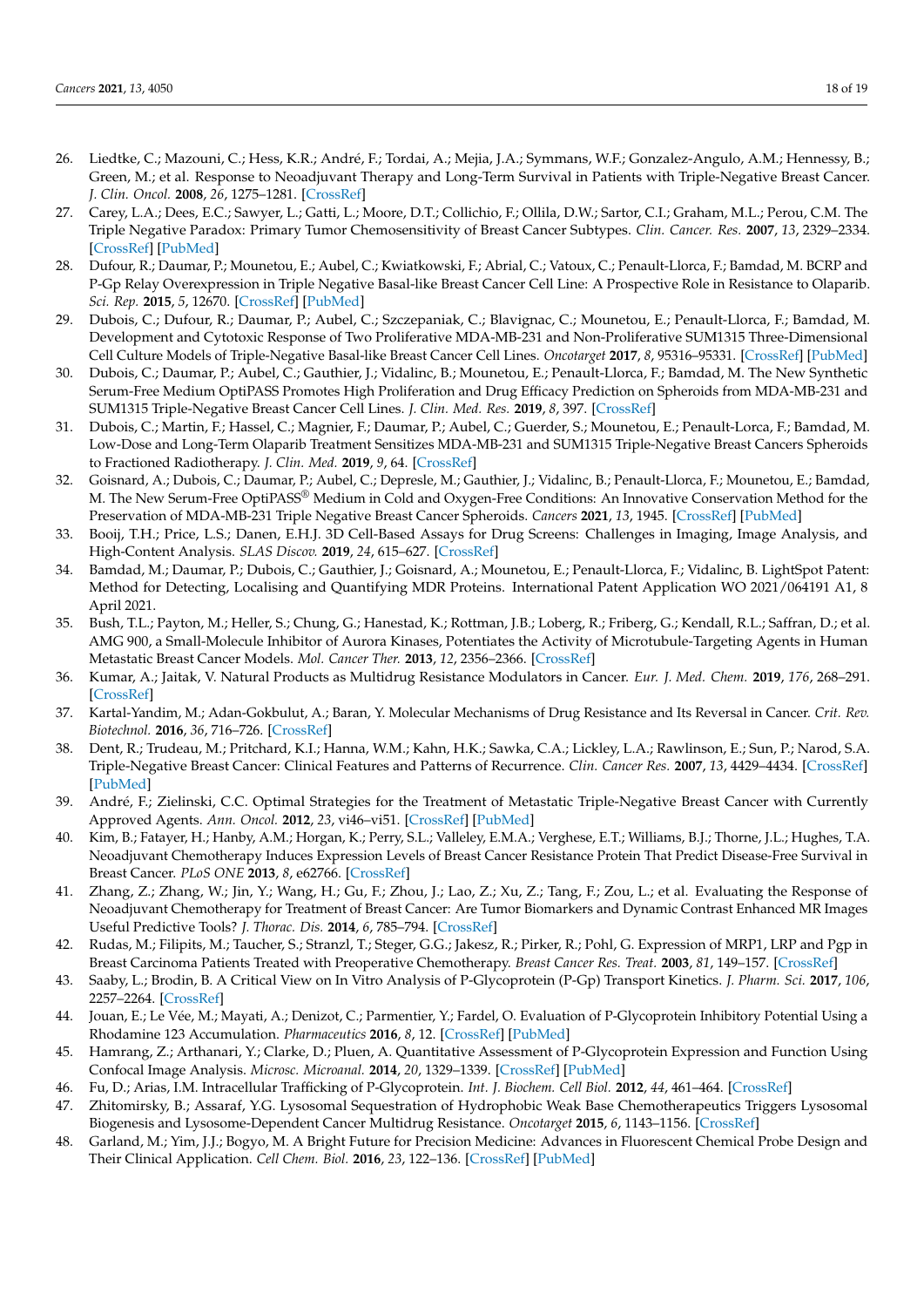- <span id="page-17-0"></span>26. Liedtke, C.; Mazouni, C.; Hess, K.R.; André, F.; Tordai, A.; Mejia, J.A.; Symmans, W.F.; Gonzalez-Angulo, A.M.; Hennessy, B.; Green, M.; et al. Response to Neoadjuvant Therapy and Long-Term Survival in Patients with Triple-Negative Breast Cancer. *J. Clin. Oncol.* **2008**, *26*, 1275–1281. [\[CrossRef\]](http://doi.org/10.1200/JCO.2007.14.4147)
- <span id="page-17-1"></span>27. Carey, L.A.; Dees, E.C.; Sawyer, L.; Gatti, L.; Moore, D.T.; Collichio, F.; Ollila, D.W.; Sartor, C.I.; Graham, M.L.; Perou, C.M. The Triple Negative Paradox: Primary Tumor Chemosensitivity of Breast Cancer Subtypes. *Clin. Cancer. Res.* **2007**, *13*, 2329–2334. [\[CrossRef\]](http://doi.org/10.1158/1078-0432.CCR-06-1109) [\[PubMed\]](http://www.ncbi.nlm.nih.gov/pubmed/17438091)
- <span id="page-17-2"></span>28. Dufour, R.; Daumar, P.; Mounetou, E.; Aubel, C.; Kwiatkowski, F.; Abrial, C.; Vatoux, C.; Penault-Llorca, F.; Bamdad, M. BCRP and P-Gp Relay Overexpression in Triple Negative Basal-like Breast Cancer Cell Line: A Prospective Role in Resistance to Olaparib. *Sci. Rep.* **2015**, *5*, 12670. [\[CrossRef\]](http://doi.org/10.1038/srep12670) [\[PubMed\]](http://www.ncbi.nlm.nih.gov/pubmed/26234720)
- <span id="page-17-3"></span>29. Dubois, C.; Dufour, R.; Daumar, P.; Aubel, C.; Szczepaniak, C.; Blavignac, C.; Mounetou, E.; Penault-Llorca, F.; Bamdad, M. Development and Cytotoxic Response of Two Proliferative MDA-MB-231 and Non-Proliferative SUM1315 Three-Dimensional Cell Culture Models of Triple-Negative Basal-like Breast Cancer Cell Lines. *Oncotarget* **2017**, *8*, 95316–95331. [\[CrossRef\]](http://doi.org/10.18632/oncotarget.20517) [\[PubMed\]](http://www.ncbi.nlm.nih.gov/pubmed/29221130)
- 30. Dubois, C.; Daumar, P.; Aubel, C.; Gauthier, J.; Vidalinc, B.; Mounetou, E.; Penault-Llorca, F.; Bamdad, M. The New Synthetic Serum-Free Medium OptiPASS Promotes High Proliferation and Drug Efficacy Prediction on Spheroids from MDA-MB-231 and SUM1315 Triple-Negative Breast Cancer Cell Lines. *J. Clin. Med. Res.* **2019**, *8*, 397. [\[CrossRef\]](http://doi.org/10.3390/jcm8030397)
- 31. Dubois, C.; Martin, F.; Hassel, C.; Magnier, F.; Daumar, P.; Aubel, C.; Guerder, S.; Mounetou, E.; Penault-Lorca, F.; Bamdad, M. Low-Dose and Long-Term Olaparib Treatment Sensitizes MDA-MB-231 and SUM1315 Triple-Negative Breast Cancers Spheroids to Fractioned Radiotherapy. *J. Clin. Med.* **2019**, *9*, 64. [\[CrossRef\]](http://doi.org/10.3390/jcm9010064)
- <span id="page-17-4"></span>32. Goisnard, A.; Dubois, C.; Daumar, P.; Aubel, C.; Depresle, M.; Gauthier, J.; Vidalinc, B.; Penault-Llorca, F.; Mounetou, E.; Bamdad, M. The New Serum-Free OptiPASS® Medium in Cold and Oxygen-Free Conditions: An Innovative Conservation Method for the Preservation of MDA-MB-231 Triple Negative Breast Cancer Spheroids. *Cancers* **2021**, *13*, 1945. [\[CrossRef\]](http://doi.org/10.3390/cancers13081945) [\[PubMed\]](http://www.ncbi.nlm.nih.gov/pubmed/33919619)
- <span id="page-17-5"></span>33. Booij, T.H.; Price, L.S.; Danen, E.H.J. 3D Cell-Based Assays for Drug Screens: Challenges in Imaging, Image Analysis, and High-Content Analysis. *SLAS Discov.* **2019**, *24*, 615–627. [\[CrossRef\]](http://doi.org/10.1177/2472555219830087)
- <span id="page-17-6"></span>34. Bamdad, M.; Daumar, P.; Dubois, C.; Gauthier, J.; Goisnard, A.; Mounetou, E.; Penault-Llorca, F.; Vidalinc, B. LightSpot Patent: Method for Detecting, Localising and Quantifying MDR Proteins. International Patent Application WO 2021/064191 A1, 8 April 2021.
- <span id="page-17-7"></span>35. Bush, T.L.; Payton, M.; Heller, S.; Chung, G.; Hanestad, K.; Rottman, J.B.; Loberg, R.; Friberg, G.; Kendall, R.L.; Saffran, D.; et al. AMG 900, a Small-Molecule Inhibitor of Aurora Kinases, Potentiates the Activity of Microtubule-Targeting Agents in Human Metastatic Breast Cancer Models. *Mol. Cancer Ther.* **2013**, *12*, 2356–2366. [\[CrossRef\]](http://doi.org/10.1158/1535-7163.MCT-12-1178)
- <span id="page-17-8"></span>36. Kumar, A.; Jaitak, V. Natural Products as Multidrug Resistance Modulators in Cancer. *Eur. J. Med. Chem.* **2019**, *176*, 268–291. [\[CrossRef\]](http://doi.org/10.1016/j.ejmech.2019.05.027)
- <span id="page-17-9"></span>37. Kartal-Yandim, M.; Adan-Gokbulut, A.; Baran, Y. Molecular Mechanisms of Drug Resistance and Its Reversal in Cancer. *Crit. Rev. Biotechnol.* **2016**, *36*, 716–726. [\[CrossRef\]](http://doi.org/10.3109/07388551.2015.1015957)
- <span id="page-17-10"></span>38. Dent, R.; Trudeau, M.; Pritchard, K.I.; Hanna, W.M.; Kahn, H.K.; Sawka, C.A.; Lickley, L.A.; Rawlinson, E.; Sun, P.; Narod, S.A. Triple-Negative Breast Cancer: Clinical Features and Patterns of Recurrence. *Clin. Cancer Res.* **2007**, *13*, 4429–4434. [\[CrossRef\]](http://doi.org/10.1158/1078-0432.CCR-06-3045) [\[PubMed\]](http://www.ncbi.nlm.nih.gov/pubmed/17671126)
- <span id="page-17-11"></span>39. André, F.; Zielinski, C.C. Optimal Strategies for the Treatment of Metastatic Triple-Negative Breast Cancer with Currently Approved Agents. *Ann. Oncol.* **2012**, *23*, vi46–vi51. [\[CrossRef\]](http://doi.org/10.1093/annonc/mds195) [\[PubMed\]](http://www.ncbi.nlm.nih.gov/pubmed/23012302)
- <span id="page-17-12"></span>40. Kim, B.; Fatayer, H.; Hanby, A.M.; Horgan, K.; Perry, S.L.; Valleley, E.M.A.; Verghese, E.T.; Williams, B.J.; Thorne, J.L.; Hughes, T.A. Neoadjuvant Chemotherapy Induces Expression Levels of Breast Cancer Resistance Protein That Predict Disease-Free Survival in Breast Cancer. *PLoS ONE* **2013**, *8*, e62766. [\[CrossRef\]](http://doi.org/10.1371/journal.pone.0062766)
- <span id="page-17-13"></span>41. Zhang, Z.; Zhang, W.; Jin, Y.; Wang, H.; Gu, F.; Zhou, J.; Lao, Z.; Xu, Z.; Tang, F.; Zou, L.; et al. Evaluating the Response of Neoadjuvant Chemotherapy for Treatment of Breast Cancer: Are Tumor Biomarkers and Dynamic Contrast Enhanced MR Images Useful Predictive Tools? *J. Thorac. Dis.* **2014**, *6*, 785–794. [\[CrossRef\]](http://doi.org/10.3978/j.issn.2072-1439.2014.04.28)
- <span id="page-17-14"></span>42. Rudas, M.; Filipits, M.; Taucher, S.; Stranzl, T.; Steger, G.G.; Jakesz, R.; Pirker, R.; Pohl, G. Expression of MRP1, LRP and Pgp in Breast Carcinoma Patients Treated with Preoperative Chemotherapy. *Breast Cancer Res. Treat.* **2003**, *81*, 149–157. [\[CrossRef\]](http://doi.org/10.1023/A:1025751631115)
- <span id="page-17-15"></span>43. Saaby, L.; Brodin, B. A Critical View on In Vitro Analysis of P-Glycoprotein (P-Gp) Transport Kinetics. *J. Pharm. Sci.* **2017**, *106*, 2257–2264. [\[CrossRef\]](http://doi.org/10.1016/j.xphs.2017.04.022)
- <span id="page-17-16"></span>44. Jouan, E.; Le Vée, M.; Mayati, A.; Denizot, C.; Parmentier, Y.; Fardel, O. Evaluation of P-Glycoprotein Inhibitory Potential Using a Rhodamine 123 Accumulation. *Pharmaceutics* **2016**, *8*, 12. [\[CrossRef\]](http://doi.org/10.3390/pharmaceutics8020012) [\[PubMed\]](http://www.ncbi.nlm.nih.gov/pubmed/27077878)
- <span id="page-17-17"></span>45. Hamrang, Z.; Arthanari, Y.; Clarke, D.; Pluen, A. Quantitative Assessment of P-Glycoprotein Expression and Function Using Confocal Image Analysis. *Microsc. Microanal.* **2014**, *20*, 1329–1339. [\[CrossRef\]](http://doi.org/10.1017/S1431927614013014) [\[PubMed\]](http://www.ncbi.nlm.nih.gov/pubmed/25158832)
- <span id="page-17-18"></span>46. Fu, D.; Arias, I.M. Intracellular Trafficking of P-Glycoprotein. *Int. J. Biochem. Cell Biol.* **2012**, *44*, 461–464. [\[CrossRef\]](http://doi.org/10.1016/j.biocel.2011.12.009)
- <span id="page-17-19"></span>47. Zhitomirsky, B.; Assaraf, Y.G. Lysosomal Sequestration of Hydrophobic Weak Base Chemotherapeutics Triggers Lysosomal Biogenesis and Lysosome-Dependent Cancer Multidrug Resistance. *Oncotarget* **2015**, *6*, 1143–1156. [\[CrossRef\]](http://doi.org/10.18632/oncotarget.2732)
- <span id="page-17-20"></span>48. Garland, M.; Yim, J.J.; Bogyo, M. A Bright Future for Precision Medicine: Advances in Fluorescent Chemical Probe Design and Their Clinical Application. *Cell Chem. Biol.* **2016**, *23*, 122–136. [\[CrossRef\]](http://doi.org/10.1016/j.chembiol.2015.12.003) [\[PubMed\]](http://www.ncbi.nlm.nih.gov/pubmed/26933740)